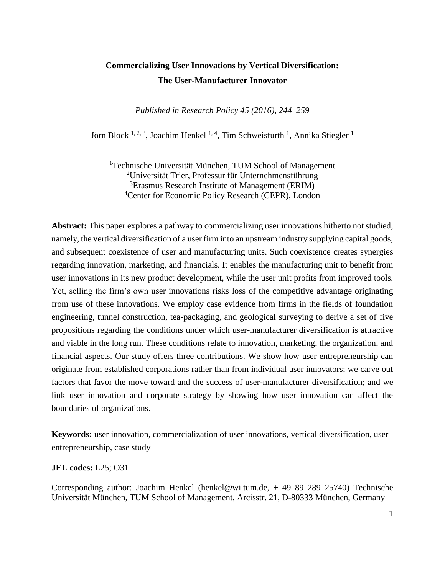# **Commercializing User Innovations by Vertical Diversification: The User-Manufacturer Innovator**

*Published in Research Policy 45 (2016), 244–259*

Jörn Block  $^{1, 2, 3}$ , Joachim Henkel  $^{1, 4}$ , Tim Schweisfurth  $^{1}$ , Annika Stiegler  $^{1}$ 

<sup>1</sup>Technische Universität München, TUM School of Management Universität Trier, Professur für Unternehmensführung Erasmus Research Institute of Management (ERIM) Center for Economic Policy Research (CEPR), London

**Abstract:** This paper explores a pathway to commercializing user innovations hitherto not studied, namely, the vertical diversification of a user firm into an upstream industry supplying capital goods, and subsequent coexistence of user and manufacturing units. Such coexistence creates synergies regarding innovation, marketing, and financials. It enables the manufacturing unit to benefit from user innovations in its new product development, while the user unit profits from improved tools. Yet, selling the firm's own user innovations risks loss of the competitive advantage originating from use of these innovations. We employ case evidence from firms in the fields of foundation engineering, tunnel construction, tea-packaging, and geological surveying to derive a set of five propositions regarding the conditions under which user-manufacturer diversification is attractive and viable in the long run. These conditions relate to innovation, marketing, the organization, and financial aspects. Our study offers three contributions. We show how user entrepreneurship can originate from established corporations rather than from individual user innovators; we carve out factors that favor the move toward and the success of user-manufacturer diversification; and we link user innovation and corporate strategy by showing how user innovation can affect the boundaries of organizations.

**Keywords:** user innovation, commercialization of user innovations, vertical diversification, user entrepreneurship, case study

**JEL codes:** L25; O31

Corresponding author: Joachim Henkel (henkel@wi.tum.de, + 49 89 289 25740) Technische Universität München, TUM School of Management, Arcisstr. 21, D-80333 München, Germany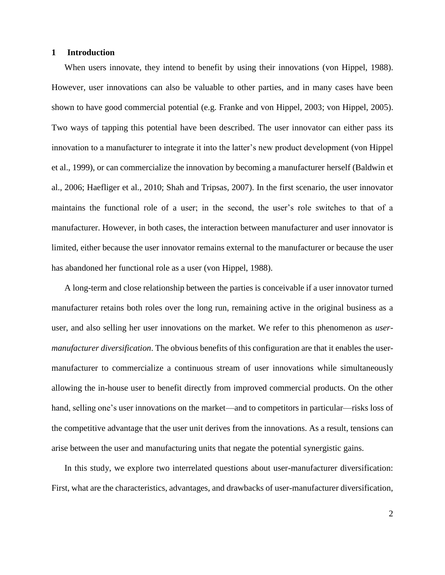# **1 Introduction**

When users innovate, they intend to benefit by using their innovations [\(von Hippel, 1988\)](#page-45-0). However, user innovations can also be valuable to other parties, and in many cases have been shown to have good commercial potential (e.g. [Franke and von Hippel, 2003;](#page-42-0) [von Hippel, 2005\)](#page-45-1). Two ways of tapping this potential have been described. The user innovator can either pass its innovation to a manufacturer to integrate it into the latter's new product development [\(von Hippel](#page-45-2)  [et al., 1999\)](#page-45-2), or can commercialize the innovation by becoming a manufacturer herself [\(Baldwin et](#page-41-0)  [al., 2006;](#page-41-0) [Haefliger et al., 2010;](#page-42-1) [Shah and Tripsas, 2007\)](#page-44-0). In the first scenario, the user innovator maintains the functional role of a user; in the second, the user's role switches to that of a manufacturer. However, in both cases, the interaction between manufacturer and user innovator is limited, either because the user innovator remains external to the manufacturer or because the user has abandoned her functional role as a user [\(von Hippel, 1988\)](#page-45-0).

A long-term and close relationship between the parties is conceivable if a user innovator turned manufacturer retains both roles over the long run, remaining active in the original business as a user, and also selling her user innovations on the market. We refer to this phenomenon as *usermanufacturer diversification*. The obvious benefits of this configuration are that it enables the usermanufacturer to commercialize a continuous stream of user innovations while simultaneously allowing the in-house user to benefit directly from improved commercial products. On the other hand, selling one's user innovations on the market—and to competitors in particular—risks loss of the competitive advantage that the user unit derives from the innovations. As a result, tensions can arise between the user and manufacturing units that negate the potential synergistic gains.

In this study, we explore two interrelated questions about user-manufacturer diversification: First, what are the characteristics, advantages, and drawbacks of user-manufacturer diversification,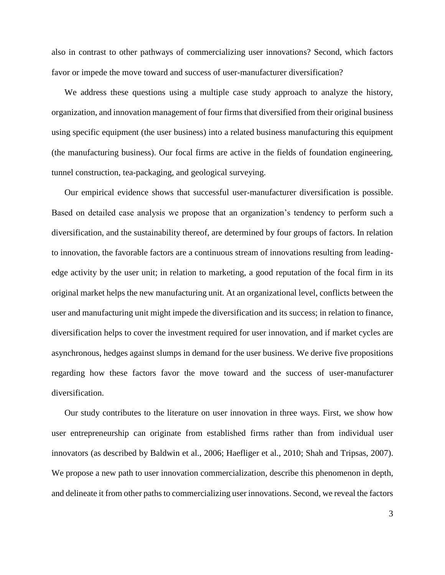also in contrast to other pathways of commercializing user innovations? Second, which factors favor or impede the move toward and success of user-manufacturer diversification?

We address these questions using a multiple case study approach to analyze the history, organization, and innovation management of four firms that diversified from their original business using specific equipment (the user business) into a related business manufacturing this equipment (the manufacturing business). Our focal firms are active in the fields of foundation engineering, tunnel construction, tea-packaging, and geological surveying.

Our empirical evidence shows that successful user-manufacturer diversification is possible. Based on detailed case analysis we propose that an organization's tendency to perform such a diversification, and the sustainability thereof, are determined by four groups of factors. In relation to innovation, the favorable factors are a continuous stream of innovations resulting from leadingedge activity by the user unit; in relation to marketing, a good reputation of the focal firm in its original market helps the new manufacturing unit. At an organizational level, conflicts between the user and manufacturing unit might impede the diversification and its success; in relation to finance, diversification helps to cover the investment required for user innovation, and if market cycles are asynchronous, hedges against slumps in demand for the user business. We derive five propositions regarding how these factors favor the move toward and the success of user-manufacturer diversification.

Our study contributes to the literature on user innovation in three ways. First, we show how user entrepreneurship can originate from established firms rather than from individual user innovators (as described by [Baldwin et al., 2006;](#page-41-0) [Haefliger et al., 2010;](#page-42-1) [Shah and Tripsas, 2007\)](#page-44-0). We propose a new path to user innovation commercialization, describe this phenomenon in depth, and delineate it from other paths to commercializing user innovations. Second, we reveal the factors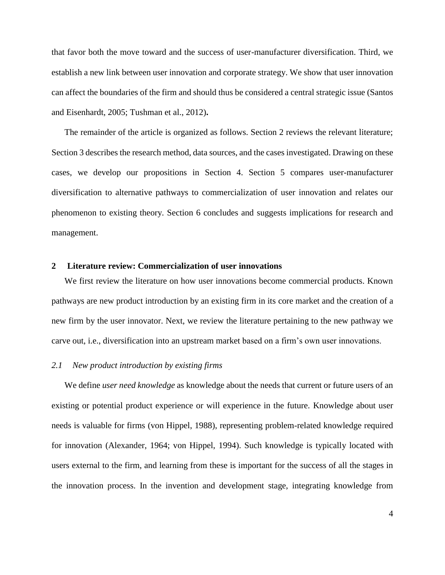that favor both the move toward and the success of user-manufacturer diversification. Third, we establish a new link between user innovation and corporate strategy. We show that user innovation can affect the boundaries of the firm and should thus be considered a central strategic issue [\(Santos](#page-44-1)  [and Eisenhardt, 2005;](#page-44-1) [Tushman et al., 2012\)](#page-45-3)**.**

The remainder of the article is organized as follows. Section 2 reviews the relevant literature; Section 3 describes the research method, data sources, and the cases investigated. Drawing on these cases, we develop our propositions in Section 4. Section 5 compares user-manufacturer diversification to alternative pathways to commercialization of user innovation and relates our phenomenon to existing theory. Section 6 concludes and suggests implications for research and management.

# **2 Literature review: Commercialization of user innovations**

We first review the literature on how user innovations become commercial products. Known pathways are new product introduction by an existing firm in its core market and the creation of a new firm by the user innovator. Next, we review the literature pertaining to the new pathway we carve out, i.e., diversification into an upstream market based on a firm's own user innovations.

### *2.1 New product introduction by existing firms*

We define *user need knowledge* as knowledge about the needs that current or future users of an existing or potential product experience or will experience in the future. Knowledge about user needs is valuable for firms [\(von Hippel, 1988\)](#page-45-0), representing problem-related knowledge required for innovation [\(Alexander, 1964;](#page-41-1) [von Hippel, 1994\)](#page-45-4). Such knowledge is typically located with users external to the firm, and learning from these is important for the success of all the stages in the innovation process. In the invention and development stage, integrating knowledge from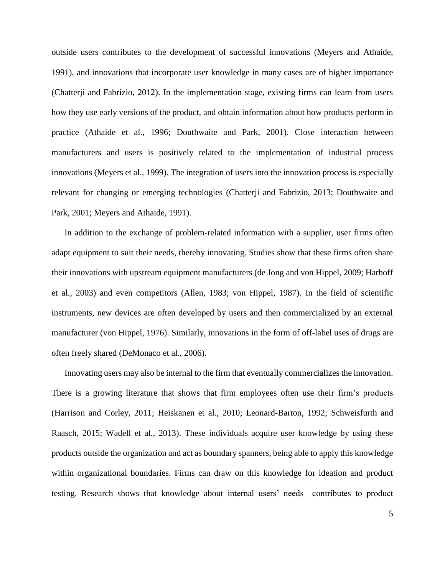outside users contributes to the development of successful innovations [\(Meyers and Athaide,](#page-44-2)  [1991\)](#page-44-2), and innovations that incorporate user knowledge in many cases are of higher importance [\(Chatterji and Fabrizio, 2012\)](#page-41-2). In the implementation stage, existing firms can learn from users how they use early versions of the product, and obtain information about how products perform in practice [\(Athaide et al., 1996;](#page-41-3) [Douthwaite and Park, 2001\)](#page-42-2). Close interaction between manufacturers and users is positively related to the implementation of industrial process innovations [\(Meyers et al., 1999\)](#page-44-3). The integration of users into the innovation process is especially relevant for changing or emerging technologies [\(Chatterji and Fabrizio, 2013;](#page-41-4) [Douthwaite and](#page-42-2)  [Park, 2001;](#page-42-2) [Meyers and Athaide, 1991\)](#page-44-2).

In addition to the exchange of problem-related information with a supplier, user firms often adapt equipment to suit their needs, thereby innovating. Studies show that these firms often share their innovations with upstream equipment manufacturers [\(de Jong and von Hippel, 2009;](#page-42-3) [Harhoff](#page-42-4)  [et al., 2003\)](#page-42-4) and even competitors [\(Allen, 1983;](#page-41-5) [von Hippel, 1987\)](#page-45-5). In the field of scientific instruments, new devices are often developed by users and then commercialized by an external manufacturer [\(von Hippel, 1976\)](#page-45-6). Similarly, innovations in the form of off-label uses of drugs are often freely shared [\(DeMonaco et al., 2006\)](#page-42-5).

Innovating users may also be internal to the firm that eventually commercializes the innovation. There is a growing literature that shows that firm employees often use their firm's products [\(Harrison and Corley, 2011;](#page-43-0) [Heiskanen et al., 2010;](#page-43-1) [Leonard-Barton, 1992;](#page-43-2) [Schweisfurth and](#page-44-4)  [Raasch, 2015;](#page-44-4) [Wadell et al., 2013\)](#page-45-7). These individuals acquire user knowledge by using these products outside the organization and act as boundary spanners, being able to apply this knowledge within organizational boundaries. Firms can draw on this knowledge for ideation and product testing. Research shows that knowledge about internal users' needs contributes to product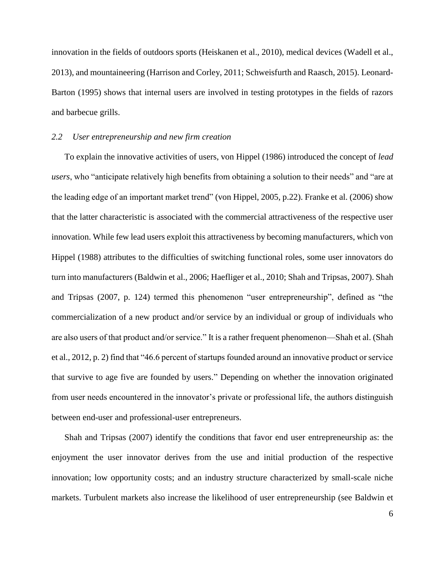innovation in the fields of outdoors sports [\(Heiskanen et al., 2010\)](#page-43-1), medical devices [\(Wadell et al.,](#page-45-7)  [2013\)](#page-45-7), and mountaineering [\(Harrison and Corley, 2011;](#page-43-0) [Schweisfurth and Raasch, 2015\)](#page-44-4). Leonard-Barton [\(1995\)](#page-43-3) shows that internal users are involved in testing prototypes in the fields of razors and barbecue grills.

# *2.2 User entrepreneurship and new firm creation*

To explain the innovative activities of users, von Hippel [\(1986\)](#page-45-8) introduced the concept of *lead users*, who "anticipate relatively high benefits from obtaining a solution to their needs" and "are at the leading edge of an important market trend" [\(von Hippel, 2005, p.22\)](#page-45-1). Franke et al. [\(2006\)](#page-42-6) show that the latter characteristic is associated with the commercial attractiveness of the respective user innovation. While few lead users exploit this attractiveness by becoming manufacturers, which von Hippel [\(1988\)](#page-45-0) attributes to the difficulties of switching functional roles, some user innovators do turn into manufacturers [\(Baldwin et al., 2006;](#page-41-0) [Haefliger et al., 2010;](#page-42-1) [Shah and Tripsas, 2007\)](#page-44-0). Shah and Tripsas (2007, [p. 124\)](#page-44-0) termed this phenomenon "user entrepreneurship", defined as "the commercialization of a new product and/or service by an individual or group of individuals who are also users of that product and/or service." It is a rather frequent phenomenon—Shah et al. [\(Shah](#page-44-5)  [et al., 2012, p. 2\)](#page-44-5) find that "46.6 percent of startups founded around an innovative product or service that survive to age five are founded by users." Depending on whether the innovation originated from user needs encountered in the innovator's private or professional life, the authors distinguish between end-user and professional-user entrepreneurs.

Shah and Tripsas [\(2007\)](#page-44-0) identify the conditions that favor end user entrepreneurship as: the enjoyment the user innovator derives from the use and initial production of the respective innovation; low opportunity costs; and an industry structure characterized by small-scale niche markets. Turbulent markets also increase the likelihood of user entrepreneurship (see Baldwin et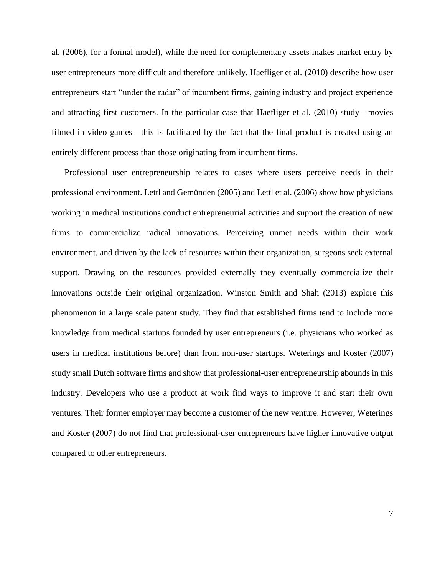al. [\(2006\)](#page-41-0), for a formal model), while the need for complementary assets makes market entry by user entrepreneurs more difficult and therefore unlikely. Haefliger et al. [\(2010\)](#page-42-1) describe how user entrepreneurs start "under the radar" of incumbent firms, gaining industry and project experience and attracting first customers. In the particular case that Haefliger et al. [\(2010\)](#page-42-1) study—movies filmed in video games—this is facilitated by the fact that the final product is created using an entirely different process than those originating from incumbent firms.

Professional user entrepreneurship relates to cases where users perceive needs in their professional environment. Lettl and Gemünden [\(2005\)](#page-43-4) and Lettl et al. [\(2006\)](#page-43-5) show how physicians working in medical institutions conduct entrepreneurial activities and support the creation of new firms to commercialize radical innovations. Perceiving unmet needs within their work environment, and driven by the lack of resources within their organization, surgeons seek external support. Drawing on the resources provided externally they eventually commercialize their innovations outside their original organization. Winston Smith and Shah [\(2013\)](#page-45-9) explore this phenomenon in a large scale patent study. They find that established firms tend to include more knowledge from medical startups founded by user entrepreneurs (i.e. physicians who worked as users in medical institutions before) than from non-user startups. Weterings and Koster [\(2007\)](#page-45-10) study small Dutch software firms and show that professional-user entrepreneurship abounds in this industry. Developers who use a product at work find ways to improve it and start their own ventures. Their former employer may become a customer of the new venture. However, Weterings and Koster [\(2007\)](#page-45-10) do not find that professional-user entrepreneurs have higher innovative output compared to other entrepreneurs.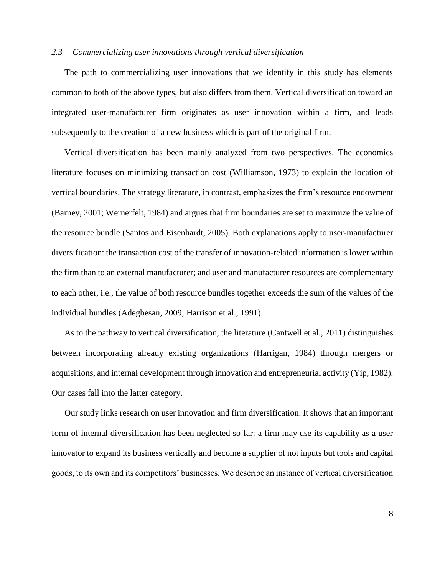# *2.3 Commercializing user innovations through vertical diversification*

The path to commercializing user innovations that we identify in this study has elements common to both of the above types, but also differs from them. Vertical diversification toward an integrated user-manufacturer firm originates as user innovation within a firm, and leads subsequently to the creation of a new business which is part of the original firm.

Vertical diversification has been mainly analyzed from two perspectives. The economics literature focuses on minimizing transaction cost [\(Williamson, 1973\)](#page-45-11) to explain the location of vertical boundaries. The strategy literature, in contrast, emphasizes the firm's resource endowment [\(Barney, 2001;](#page-41-6) [Wernerfelt, 1984\)](#page-45-12) and argues that firm boundaries are set to maximize the value of the resource bundle [\(Santos and Eisenhardt, 2005\)](#page-44-1). Both explanations apply to user-manufacturer diversification: the transaction cost of the transfer of innovation-related information is lower within the firm than to an external manufacturer; and user and manufacturer resources are complementary to each other, i.e., the value of both resource bundles together exceeds the sum of the values of the individual bundles [\(Adegbesan, 2009;](#page-41-7) [Harrison et al., 1991\)](#page-43-6).

As to the pathway to vertical diversification, the literature [\(Cantwell et al., 2011\)](#page-41-8) distinguishes between incorporating already existing organizations [\(Harrigan, 1984\)](#page-42-7) through mergers or acquisitions, and internal development through innovation and entrepreneurial activity [\(Yip, 1982\)](#page-45-13). Our cases fall into the latter category.

Our study links research on user innovation and firm diversification. It shows that an important form of internal diversification has been neglected so far: a firm may use its capability as a user innovator to expand its business vertically and become a supplier of not inputs but tools and capital goods, to its own and its competitors' businesses. We describe an instance of vertical diversification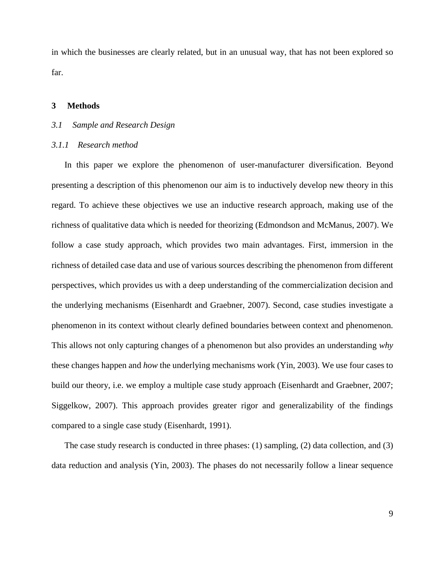in which the businesses are clearly related, but in an unusual way, that has not been explored so far.

# **3 Methods**

### *3.1 Sample and Research Design*

### *3.1.1 Research method*

In this paper we explore the phenomenon of user-manufacturer diversification. Beyond presenting a description of this phenomenon our aim is to inductively develop new theory in this regard. To achieve these objectives we use an inductive research approach, making use of the richness of qualitative data which is needed for theorizing [\(Edmondson and McManus, 2007\)](#page-42-8). We follow a case study approach, which provides two main advantages. First, immersion in the richness of detailed case data and use of various sources describing the phenomenon from different perspectives, which provides us with a deep understanding of the commercialization decision and the underlying mechanisms [\(Eisenhardt and Graebner, 2007\)](#page-42-9). Second, case studies investigate a phenomenon in its context without clearly defined boundaries between context and phenomenon. This allows not only capturing changes of a phenomenon but also provides an understanding *why* these changes happen and *how* the underlying mechanisms work [\(Yin, 2003\)](#page-45-14). We use four cases to build our theory, i.e. we employ a multiple case study approach [\(Eisenhardt and Graebner, 2007;](#page-42-9) [Siggelkow, 2007\)](#page-44-6). This approach provides greater rigor and generalizability of the findings compared to a single case study [\(Eisenhardt, 1991\)](#page-42-10).

The case study research is conducted in three phases: (1) sampling, (2) data collection, and (3) data reduction and analysis [\(Yin, 2003\)](#page-45-14). The phases do not necessarily follow a linear sequence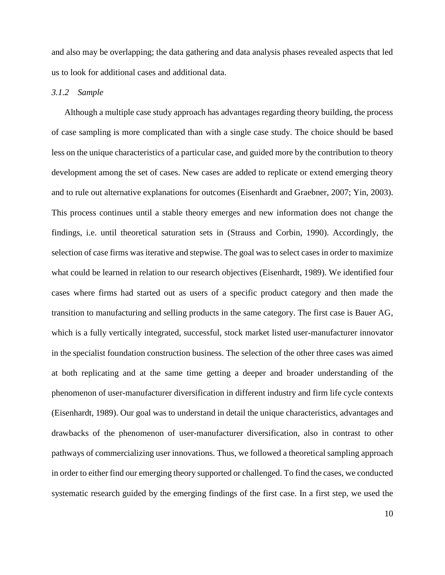and also may be overlapping; the data gathering and data analysis phases revealed aspects that led us to look for additional cases and additional data.

### *3.1.2 Sample*

Although a multiple case study approach has advantages regarding theory building, the process of case sampling is more complicated than with a single case study. The choice should be based less on the unique characteristics of a particular case, and guided more by the contribution to theory development among the set of cases. New cases are added to replicate or extend emerging theory and to rule out alternative explanations for outcomes [\(Eisenhardt and Graebner, 2007;](#page-42-9) [Yin, 2003\)](#page-45-14). This process continues until a stable theory emerges and new information does not change the findings, i.e. until theoretical saturation sets in [\(Strauss and Corbin, 1990\)](#page-44-7). Accordingly, the selection of case firms was iterative and stepwise. The goal was to select cases in order to maximize what could be learned in relation to our research objectives [\(Eisenhardt, 1989\)](#page-42-11). We identified four cases where firms had started out as users of a specific product category and then made the transition to manufacturing and selling products in the same category. The first case is Bauer AG, which is a fully vertically integrated, successful, stock market listed user-manufacturer innovator in the specialist foundation construction business. The selection of the other three cases was aimed at both replicating and at the same time getting a deeper and broader understanding of the phenomenon of user-manufacturer diversification in different industry and firm life cycle contexts [\(Eisenhardt, 1989\)](#page-42-11). Our goal was to understand in detail the unique characteristics, advantages and drawbacks of the phenomenon of user-manufacturer diversification, also in contrast to other pathways of commercializing user innovations. Thus, we followed a theoretical sampling approach in order to either find our emerging theory supported or challenged. To find the cases, we conducted systematic research guided by the emerging findings of the first case. In a first step, we used the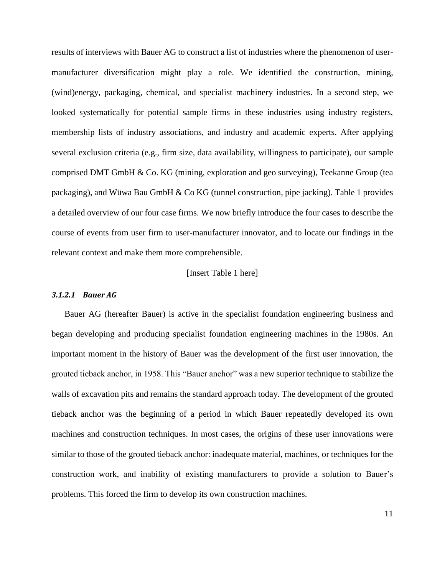results of interviews with Bauer AG to construct a list of industries where the phenomenon of usermanufacturer diversification might play a role. We identified the construction, mining, (wind)energy, packaging, chemical, and specialist machinery industries. In a second step, we looked systematically for potential sample firms in these industries using industry registers, membership lists of industry associations, and industry and academic experts. After applying several exclusion criteria (e.g., firm size, data availability, willingness to participate), our sample comprised DMT GmbH & Co. KG (mining, exploration and geo surveying), Teekanne Group (tea packaging), and Wüwa Bau GmbH & Co KG (tunnel construction, pipe jacking). [Table 1](#page-46-0) provides a detailed overview of our four case firms. We now briefly introduce the four cases to describe the course of events from user firm to user-manufacturer innovator, and to locate our findings in the relevant context and make them more comprehensible.

# [Insert Table 1 here]

### *3.1.2.1 Bauer AG*

Bauer AG (hereafter Bauer) is active in the specialist foundation engineering business and began developing and producing specialist foundation engineering machines in the 1980s. An important moment in the history of Bauer was the development of the first user innovation, the grouted tieback anchor, in 1958. This "Bauer anchor" was a new superior technique to stabilize the walls of excavation pits and remains the standard approach today. The development of the grouted tieback anchor was the beginning of a period in which Bauer repeatedly developed its own machines and construction techniques. In most cases, the origins of these user innovations were similar to those of the grouted tieback anchor: inadequate material, machines, or techniques for the construction work, and inability of existing manufacturers to provide a solution to Bauer's problems. This forced the firm to develop its own construction machines.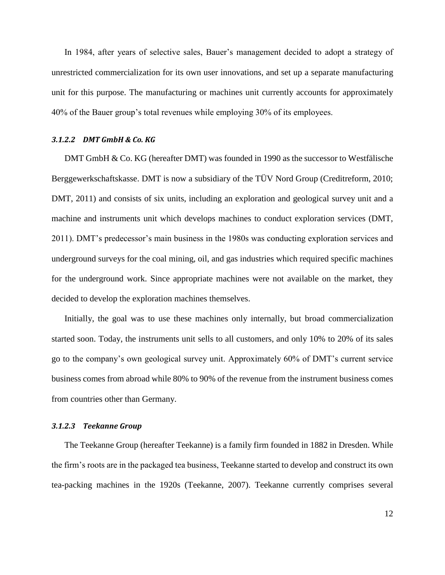In 1984, after years of selective sales, Bauer's management decided to adopt a strategy of unrestricted commercialization for its own user innovations, and set up a separate manufacturing unit for this purpose. The manufacturing or machines unit currently accounts for approximately 40% of the Bauer group's total revenues while employing 30% of its employees.

# *3.1.2.2 DMT GmbH & Co. KG*

DMT GmbH & Co. KG (hereafter DMT) was founded in 1990 as the successor to Westfälische Berggewerkschaftskasse. DMT is now a subsidiary of the TÜV Nord Group (Creditreform, 2010; DMT, 2011) and consists of six units, including an exploration and geological survey unit and a machine and instruments unit which develops machines to conduct exploration services (DMT, 2011). DMT's predecessor's main business in the 1980s was conducting exploration services and underground surveys for the coal mining, oil, and gas industries which required specific machines for the underground work. Since appropriate machines were not available on the market, they decided to develop the exploration machines themselves.

Initially, the goal was to use these machines only internally, but broad commercialization started soon. Today, the instruments unit sells to all customers, and only 10% to 20% of its sales go to the company's own geological survey unit. Approximately 60% of DMT's current service business comes from abroad while 80% to 90% of the revenue from the instrument business comes from countries other than Germany.

# *3.1.2.3 Teekanne Group*

The Teekanne Group (hereafter Teekanne) is a family firm founded in 1882 in Dresden. While the firm's roots are in the packaged tea business, Teekanne started to develop and construct its own tea-packing machines in the 1920s (Teekanne, 2007). Teekanne currently comprises several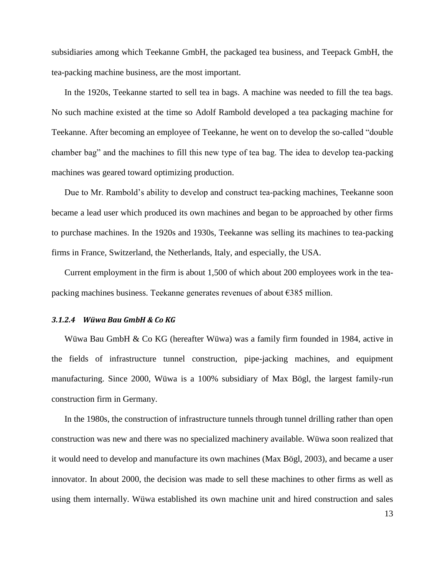subsidiaries among which Teekanne GmbH, the packaged tea business, and Teepack GmbH, the tea-packing machine business, are the most important.

In the 1920s, Teekanne started to sell tea in bags. A machine was needed to fill the tea bags. No such machine existed at the time so Adolf Rambold developed a tea packaging machine for Teekanne. After becoming an employee of Teekanne, he went on to develop the so-called "double chamber bag" and the machines to fill this new type of tea bag. The idea to develop tea-packing machines was geared toward optimizing production.

Due to Mr. Rambold's ability to develop and construct tea-packing machines, Teekanne soon became a lead user which produced its own machines and began to be approached by other firms to purchase machines. In the 1920s and 1930s, Teekanne was selling its machines to tea-packing firms in France, Switzerland, the Netherlands, Italy, and especially, the USA.

Current employment in the firm is about 1,500 of which about 200 employees work in the teapacking machines business. Teekanne generates revenues of about  $\epsilon$ 385 million.

### *3.1.2.4 Wüwa Bau GmbH & Co KG*

Wüwa Bau GmbH & Co KG (hereafter Wüwa) was a family firm founded in 1984, active in the fields of infrastructure tunnel construction, pipe-jacking machines, and equipment manufacturing. Since 2000, Wüwa is a 100% subsidiary of Max Bögl, the largest family-run construction firm in Germany.

In the 1980s, the construction of infrastructure tunnels through tunnel drilling rather than open construction was new and there was no specialized machinery available. Wüwa soon realized that it would need to develop and manufacture its own machines (Max Bögl, 2003), and became a user innovator. In about 2000, the decision was made to sell these machines to other firms as well as using them internally. Wüwa established its own machine unit and hired construction and sales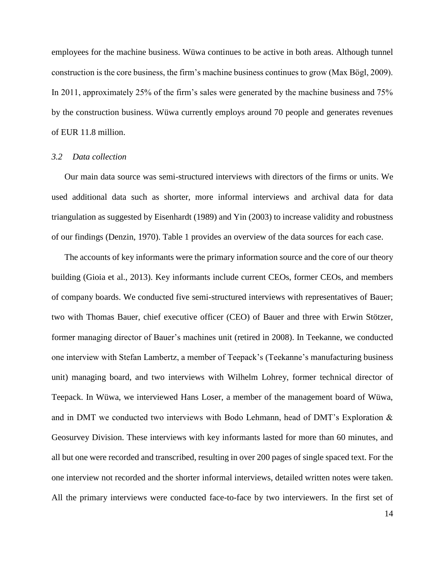employees for the machine business. Wüwa continues to be active in both areas. Although tunnel construction is the core business, the firm's machine business continues to grow (Max Bögl, 2009). In 2011, approximately 25% of the firm's sales were generated by the machine business and 75% by the construction business. Wüwa currently employs around 70 people and generates revenues of EUR 11.8 million.

### *3.2 Data collection*

Our main data source was semi-structured interviews with directors of the firms or units. We used additional data such as shorter, more informal interviews and archival data for data triangulation as suggested by Eisenhardt [\(1989\)](#page-42-11) and Yin (2003) to increase validity and robustness of our findings [\(Denzin, 1970\)](#page-42-12). [Table 1](#page-46-0) provides an overview of the data sources for each case.

The accounts of key informants were the primary information source and the core of our theory building [\(Gioia et al., 2013\)](#page-42-13). Key informants include current CEOs, former CEOs, and members of company boards. We conducted five semi-structured interviews with representatives of Bauer; two with Thomas Bauer, chief executive officer (CEO) of Bauer and three with Erwin Stötzer, former managing director of Bauer's machines unit (retired in 2008). In Teekanne, we conducted one interview with Stefan Lambertz, a member of Teepack's (Teekanne's manufacturing business unit) managing board, and two interviews with Wilhelm Lohrey, former technical director of Teepack. In Wüwa, we interviewed Hans Loser, a member of the management board of Wüwa, and in DMT we conducted two interviews with Bodo Lehmann, head of DMT's Exploration & Geosurvey Division. These interviews with key informants lasted for more than 60 minutes, and all but one were recorded and transcribed, resulting in over 200 pages of single spaced text. For the one interview not recorded and the shorter informal interviews, detailed written notes were taken. All the primary interviews were conducted face-to-face by two interviewers. In the first set of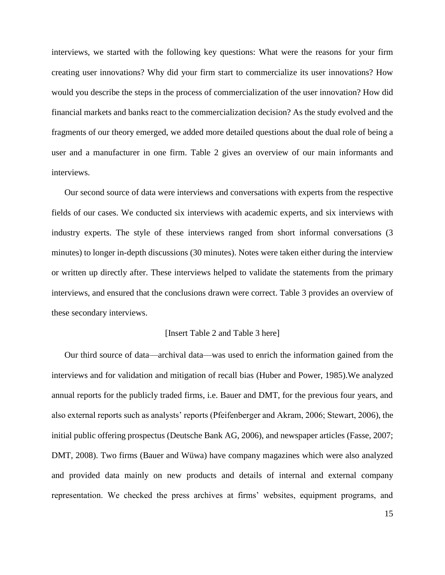interviews, we started with the following key questions: What were the reasons for your firm creating user innovations? Why did your firm start to commercialize its user innovations? How would you describe the steps in the process of commercialization of the user innovation? How did financial markets and banks react to the commercialization decision? As the study evolved and the fragments of our theory emerged, we added more detailed questions about the dual role of being a user and a manufacturer in one firm. [Table 2](#page-47-0) gives an overview of our main informants and interviews.

Our second source of data were interviews and conversations with experts from the respective fields of our cases. We conducted six interviews with academic experts, and six interviews with industry experts. The style of these interviews ranged from short informal conversations (3 minutes) to longer in-depth discussions (30 minutes). Notes were taken either during the interview or written up directly after. These interviews helped to validate the statements from the primary interviews, and ensured that the conclusions drawn were correct. [Table 3](#page-47-1) provides an overview of these secondary interviews.

### [Insert Table 2 and Table 3 here]

Our third source of data—archival data—was used to enrich the information gained from the interviews and for validation and mitigation of recall bias [\(Huber and Power, 1985\)](#page-43-7).We analyzed annual reports for the publicly traded firms, i.e. Bauer and DMT, for the previous four years, and also external reports such as analysts' reports (Pfeifenberger and Akram, 2006; Stewart, 2006), the initial public offering prospectus (Deutsche Bank AG, 2006), and newspaper articles (Fasse, 2007; DMT, 2008). Two firms (Bauer and Wüwa) have company magazines which were also analyzed and provided data mainly on new products and details of internal and external company representation. We checked the press archives at firms' websites, equipment programs, and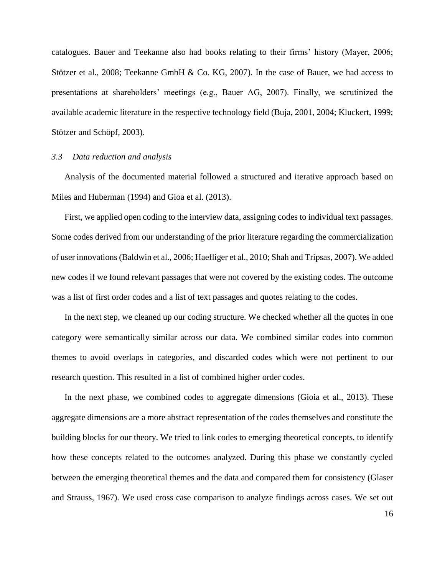catalogues. Bauer and Teekanne also had books relating to their firms' history (Mayer, 2006; Stötzer et al., 2008; Teekanne GmbH & Co. KG, 2007). In the case of Bauer, we had access to presentations at shareholders' meetings (e.g., Bauer AG, 2007). Finally, we scrutinized the available academic literature in the respective technology field (Buja, 2001, 2004; Kluckert, 1999; Stötzer and Schöpf, 2003).

### *3.3 Data reduction and analysis*

Analysis of the documented material followed a structured and iterative approach based on Miles and Huberman [\(1994\)](#page-44-8) and Gioa et al. [\(2013\)](#page-42-13).

First, we applied open coding to the interview data, assigning codes to individual text passages. Some codes derived from our understanding of the prior literature regarding the commercialization of user innovations [\(Baldwin et al., 2006;](#page-41-0) [Haefliger et al., 2010;](#page-42-1) [Shah and Tripsas, 2007\)](#page-44-0). We added new codes if we found relevant passages that were not covered by the existing codes. The outcome was a list of first order codes and a list of text passages and quotes relating to the codes.

In the next step, we cleaned up our coding structure. We checked whether all the quotes in one category were semantically similar across our data. We combined similar codes into common themes to avoid overlaps in categories, and discarded codes which were not pertinent to our research question. This resulted in a list of combined higher order codes.

In the next phase, we combined codes to aggregate dimensions [\(Gioia et al., 2013\)](#page-42-13). These aggregate dimensions are a more abstract representation of the codes themselves and constitute the building blocks for our theory. We tried to link codes to emerging theoretical concepts, to identify how these concepts related to the outcomes analyzed. During this phase we constantly cycled between the emerging theoretical themes and the data and compared them for consistency [\(Glaser](#page-42-14)  [and Strauss, 1967\)](#page-42-14). We used cross case comparison to analyze findings across cases. We set out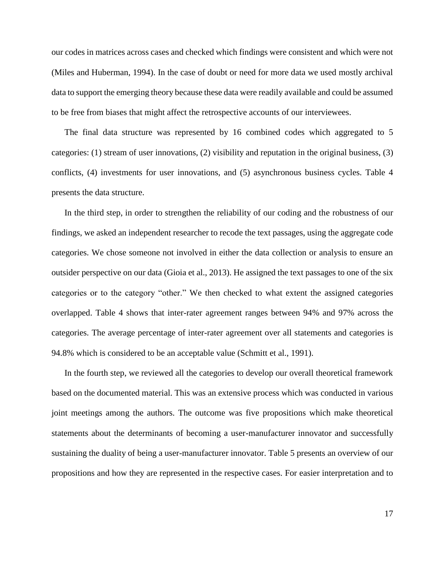our codes in matrices across cases and checked which findings were consistent and which were not [\(Miles and Huberman, 1994\)](#page-44-8). In the case of doubt or need for more data we used mostly archival data to support the emerging theory because these data were readily available and could be assumed to be free from biases that might affect the retrospective accounts of our interviewees.

The final data structure was represented by 16 combined codes which aggregated to 5 categories: (1) stream of user innovations, (2) visibility and reputation in the original business, (3) conflicts, (4) investments for user innovations, and (5) asynchronous business cycles. [Table 4](#page-48-0) presents the data structure.

In the third step, in order to strengthen the reliability of our coding and the robustness of our findings, we asked an independent researcher to recode the text passages, using the aggregate code categories. We chose someone not involved in either the data collection or analysis to ensure an outsider perspective on our data [\(Gioia et al., 2013\)](#page-42-13). He assigned the text passages to one of the six categories or to the category "other." We then checked to what extent the assigned categories overlapped. Table 4 shows that inter-rater agreement ranges between 94% and 97% across the categories. The average percentage of inter-rater agreement over all statements and categories is 94.8% which is considered to be an acceptable value [\(Schmitt et al., 1991\)](#page-44-9).

In the fourth step, we reviewed all the categories to develop our overall theoretical framework based on the documented material. This was an extensive process which was conducted in various joint meetings among the authors. The outcome was five propositions which make theoretical statements about the determinants of becoming a user-manufacturer innovator and successfully sustaining the duality of being a user-manufacturer innovator. Table 5 presents an overview of our propositions and how they are represented in the respective cases. For easier interpretation and to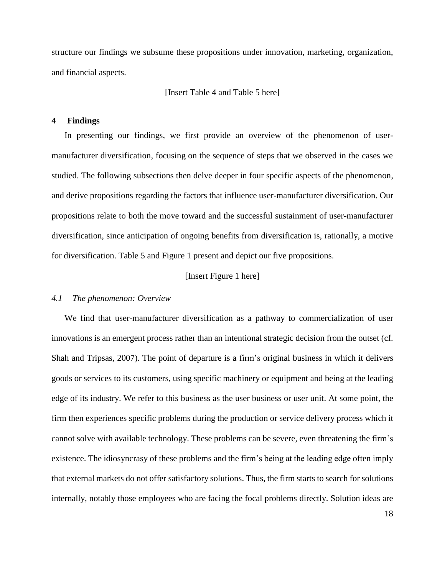structure our findings we subsume these propositions under innovation, marketing, organization, and financial aspects.

[Insert Table 4 and Table 5 here]

# **4 Findings**

In presenting our findings, we first provide an overview of the phenomenon of usermanufacturer diversification, focusing on the sequence of steps that we observed in the cases we studied. The following subsections then delve deeper in four specific aspects of the phenomenon, and derive propositions regarding the factors that influence user-manufacturer diversification. Our propositions relate to both the move toward and the successful sustainment of user-manufacturer diversification, since anticipation of ongoing benefits from diversification is, rationally, a motive for diversification. [Table 5](#page-49-0) and Figure 1 present and depict our five propositions.

# [Insert Figure 1 here]

### *4.1 The phenomenon: Overview*

We find that user-manufacturer diversification as a pathway to commercialization of user innovations is an emergent process rather than an intentional strategic decision from the outset [\(cf.](#page-44-0)  [Shah and Tripsas, 2007\)](#page-44-0). The point of departure is a firm's original business in which it delivers goods or services to its customers, using specific machinery or equipment and being at the leading edge of its industry. We refer to this business as the user business or user unit. At some point, the firm then experiences specific problems during the production or service delivery process which it cannot solve with available technology. These problems can be severe, even threatening the firm's existence. The idiosyncrasy of these problems and the firm's being at the leading edge often imply that external markets do not offer satisfactory solutions. Thus, the firm starts to search for solutions internally, notably those employees who are facing the focal problems directly. Solution ideas are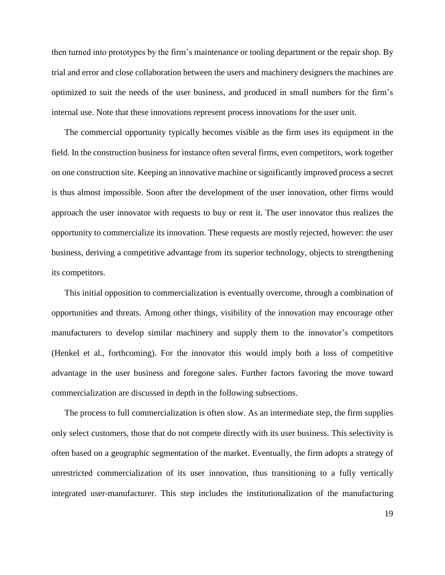then turned into prototypes by the firm's maintenance or tooling department or the repair shop. By trial and error and close collaboration between the users and machinery designers the machines are optimized to suit the needs of the user business, and produced in small numbers for the firm's internal use. Note that these innovations represent process innovations for the user unit.

The commercial opportunity typically becomes visible as the firm uses its equipment in the field. In the construction business for instance often several firms, even competitors, work together on one construction site. Keeping an innovative machine or significantly improved process a secret is thus almost impossible. Soon after the development of the user innovation, other firms would approach the user innovator with requests to buy or rent it. The user innovator thus realizes the opportunity to commercialize its innovation. These requests are mostly rejected, however: the user business, deriving a competitive advantage from its superior technology, objects to strengthening its competitors.

This initial opposition to commercialization is eventually overcome, through a combination of opportunities and threats. Among other things, visibility of the innovation may encourage other manufacturers to develop similar machinery and supply them to the innovator's competitors [\(Henkel et al., forthcoming\)](#page-43-8). For the innovator this would imply both a loss of competitive advantage in the user business and foregone sales. Further factors favoring the move toward commercialization are discussed in depth in the following subsections.

The process to full commercialization is often slow. As an intermediate step, the firm supplies only select customers, those that do not compete directly with its user business. This selectivity is often based on a geographic segmentation of the market. Eventually, the firm adopts a strategy of unrestricted commercialization of its user innovation, thus transitioning to a fully vertically integrated user-manufacturer. This step includes the institutionalization of the manufacturing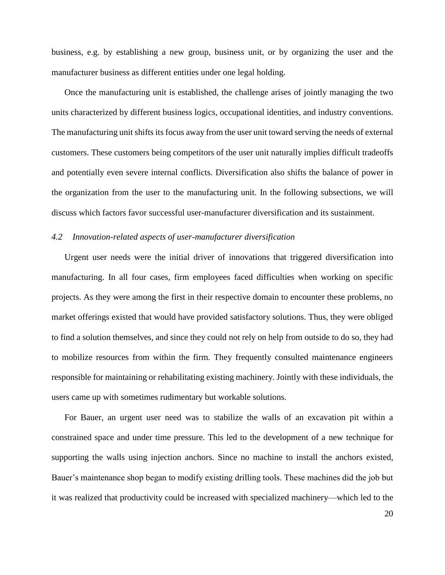business, e.g. by establishing a new group, business unit, or by organizing the user and the manufacturer business as different entities under one legal holding.

Once the manufacturing unit is established, the challenge arises of jointly managing the two units characterized by different business logics, occupational identities, and industry conventions. The manufacturing unit shifts its focus away from the user unit toward serving the needs of external customers. These customers being competitors of the user unit naturally implies difficult tradeoffs and potentially even severe internal conflicts. Diversification also shifts the balance of power in the organization from the user to the manufacturing unit. In the following subsections, we will discuss which factors favor successful user-manufacturer diversification and its sustainment.

# *4.2 Innovation-related aspects of user-manufacturer diversification*

Urgent user needs were the initial driver of innovations that triggered diversification into manufacturing. In all four cases, firm employees faced difficulties when working on specific projects. As they were among the first in their respective domain to encounter these problems, no market offerings existed that would have provided satisfactory solutions. Thus, they were obliged to find a solution themselves, and since they could not rely on help from outside to do so, they had to mobilize resources from within the firm. They frequently consulted maintenance engineers responsible for maintaining or rehabilitating existing machinery. Jointly with these individuals, the users came up with sometimes rudimentary but workable solutions.

For Bauer, an urgent user need was to stabilize the walls of an excavation pit within a constrained space and under time pressure. This led to the development of a new technique for supporting the walls using injection anchors. Since no machine to install the anchors existed, Bauer's maintenance shop began to modify existing drilling tools. These machines did the job but it was realized that productivity could be increased with specialized machinery—which led to the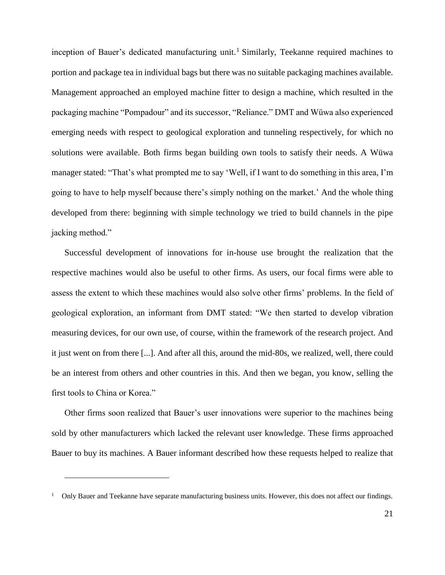inception of Bauer's dedicated manufacturing unit. <sup>1</sup> Similarly, Teekanne required machines to portion and package tea in individual bags but there was no suitable packaging machines available. Management approached an employed machine fitter to design a machine, which resulted in the packaging machine "Pompadour" and its successor, "Reliance." DMT and Wüwa also experienced emerging needs with respect to geological exploration and tunneling respectively, for which no solutions were available. Both firms began building own tools to satisfy their needs. A Wüwa manager stated: "That's what prompted me to say 'Well, if I want to do something in this area, I'm going to have to help myself because there's simply nothing on the market.' And the whole thing developed from there: beginning with simple technology we tried to build channels in the pipe jacking method."

Successful development of innovations for in-house use brought the realization that the respective machines would also be useful to other firms. As users, our focal firms were able to assess the extent to which these machines would also solve other firms' problems. In the field of geological exploration, an informant from DMT stated: "We then started to develop vibration measuring devices, for our own use, of course, within the framework of the research project. And it just went on from there [...]. And after all this, around the mid-80s, we realized, well, there could be an interest from others and other countries in this. And then we began, you know, selling the first tools to China or Korea."

Other firms soon realized that Bauer's user innovations were superior to the machines being sold by other manufacturers which lacked the relevant user knowledge. These firms approached Bauer to buy its machines. A Bauer informant described how these requests helped to realize that

 $\overline{a}$ 

<sup>1</sup> Only Bauer and Teekanne have separate manufacturing business units. However, this does not affect our findings.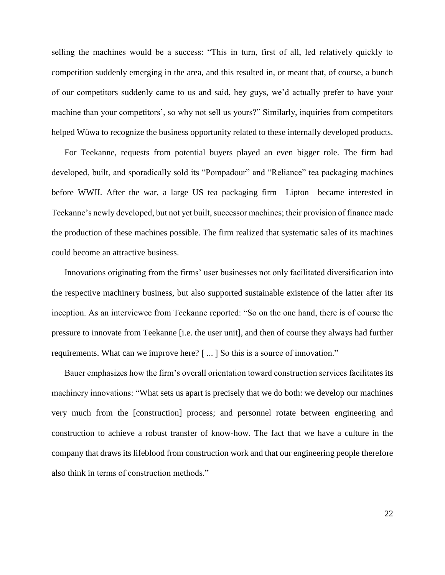selling the machines would be a success: "This in turn, first of all, led relatively quickly to competition suddenly emerging in the area, and this resulted in, or meant that, of course, a bunch of our competitors suddenly came to us and said, hey guys, we'd actually prefer to have your machine than your competitors', so why not sell us yours?" Similarly, inquiries from competitors helped Wüwa to recognize the business opportunity related to these internally developed products.

For Teekanne, requests from potential buyers played an even bigger role. The firm had developed, built, and sporadically sold its "Pompadour" and "Reliance" tea packaging machines before WWII. After the war, a large US tea packaging firm—Lipton—became interested in Teekanne's newly developed, but not yet built, successor machines; their provision of finance made the production of these machines possible. The firm realized that systematic sales of its machines could become an attractive business.

Innovations originating from the firms' user businesses not only facilitated diversification into the respective machinery business, but also supported sustainable existence of the latter after its inception. As an interviewee from Teekanne reported: "So on the one hand, there is of course the pressure to innovate from Teekanne [i.e. the user unit], and then of course they always had further requirements. What can we improve here? [ ... ] So this is a source of innovation."

Bauer emphasizes how the firm's overall orientation toward construction services facilitates its machinery innovations: "What sets us apart is precisely that we do both: we develop our machines very much from the [construction] process; and personnel rotate between engineering and construction to achieve a robust transfer of know-how. The fact that we have a culture in the company that draws its lifeblood from construction work and that our engineering people therefore also think in terms of construction methods."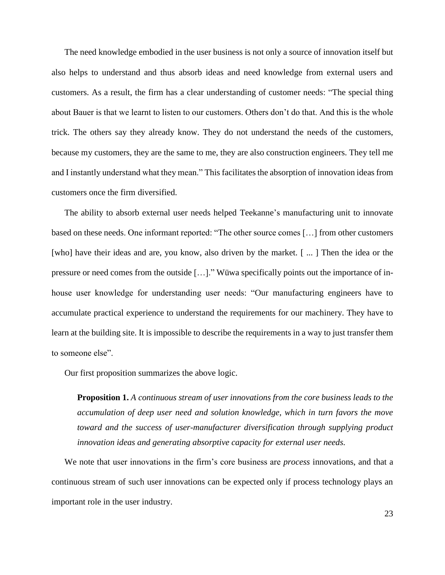The need knowledge embodied in the user business is not only a source of innovation itself but also helps to understand and thus absorb ideas and need knowledge from external users and customers. As a result, the firm has a clear understanding of customer needs: "The special thing about Bauer is that we learnt to listen to our customers. Others don't do that. And this is the whole trick. The others say they already know. They do not understand the needs of the customers, because my customers, they are the same to me, they are also construction engineers. They tell me and I instantly understand what they mean." This facilitates the absorption of innovation ideas from customers once the firm diversified.

The ability to absorb external user needs helped Teekanne's manufacturing unit to innovate based on these needs. One informant reported: "The other source comes […] from other customers [who] have their ideas and are, you know, also driven by the market. [ ... ] Then the idea or the pressure or need comes from the outside […]." Wüwa specifically points out the importance of inhouse user knowledge for understanding user needs: "Our manufacturing engineers have to accumulate practical experience to understand the requirements for our machinery. They have to learn at the building site. It is impossible to describe the requirements in a way to just transfer them to someone else".

Our first proposition summarizes the above logic.

**Proposition 1.** *A continuous stream of user innovations from the core business leads to the accumulation of deep user need and solution knowledge, which in turn favors the move toward and the success of user-manufacturer diversification through supplying product innovation ideas and generating absorptive capacity for external user needs.* 

We note that user innovations in the firm's core business are *process* innovations, and that a continuous stream of such user innovations can be expected only if process technology plays an important role in the user industry.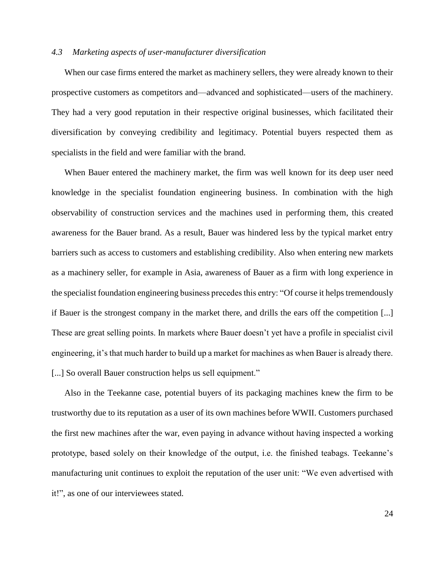# *4.3 Marketing aspects of user-manufacturer diversification*

When our case firms entered the market as machinery sellers, they were already known to their prospective customers as competitors and—advanced and sophisticated—users of the machinery. They had a very good reputation in their respective original businesses, which facilitated their diversification by conveying credibility and legitimacy. Potential buyers respected them as specialists in the field and were familiar with the brand.

When Bauer entered the machinery market, the firm was well known for its deep user need knowledge in the specialist foundation engineering business. In combination with the high observability of construction services and the machines used in performing them, this created awareness for the Bauer brand. As a result, Bauer was hindered less by the typical market entry barriers such as access to customers and establishing credibility. Also when entering new markets as a machinery seller, for example in Asia, awareness of Bauer as a firm with long experience in the specialist foundation engineering business precedes this entry: "Of course it helps tremendously if Bauer is the strongest company in the market there, and drills the ears off the competition [...] These are great selling points. In markets where Bauer doesn't yet have a profile in specialist civil engineering, it's that much harder to build up a market for machines as when Bauer is already there. [...] So overall Bauer construction helps us sell equipment."

Also in the Teekanne case, potential buyers of its packaging machines knew the firm to be trustworthy due to its reputation as a user of its own machines before WWII. Customers purchased the first new machines after the war, even paying in advance without having inspected a working prototype, based solely on their knowledge of the output, i.e. the finished teabags. Teekanne's manufacturing unit continues to exploit the reputation of the user unit: "We even advertised with it!", as one of our interviewees stated.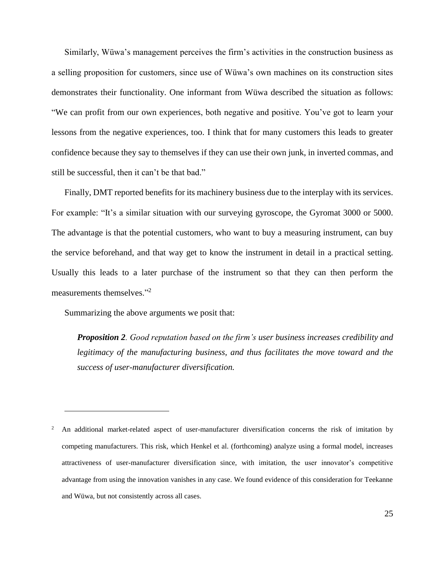Similarly, Wüwa's management perceives the firm's activities in the construction business as a selling proposition for customers, since use of Wüwa's own machines on its construction sites demonstrates their functionality. One informant from Wüwa described the situation as follows: "We can profit from our own experiences, both negative and positive. You've got to learn your lessons from the negative experiences, too. I think that for many customers this leads to greater confidence because they say to themselves if they can use their own junk, in inverted commas, and still be successful, then it can't be that bad."

Finally, DMT reported benefits for its machinery business due to the interplay with its services. For example: "It's a similar situation with our surveying gyroscope, the Gyromat 3000 or 5000. The advantage is that the potential customers, who want to buy a measuring instrument, can buy the service beforehand, and that way get to know the instrument in detail in a practical setting. Usually this leads to a later purchase of the instrument so that they can then perform the measurements themselves."<sup>2</sup>

Summarizing the above arguments we posit that:

 $\overline{a}$ 

*Proposition 2. Good reputation based on the firm's user business increases credibility and legitimacy of the manufacturing business, and thus facilitates the move toward and the success of user-manufacturer diversification.*

<sup>2</sup> An additional market-related aspect of user-manufacturer diversification concerns the risk of imitation by competing manufacturers. This risk, which Henkel et al. (forthcoming) analyze using a formal model, increases attractiveness of user-manufacturer diversification since, with imitation, the user innovator's competitive advantage from using the innovation vanishes in any case. We found evidence of this consideration for Teekanne and Wüwa, but not consistently across all cases.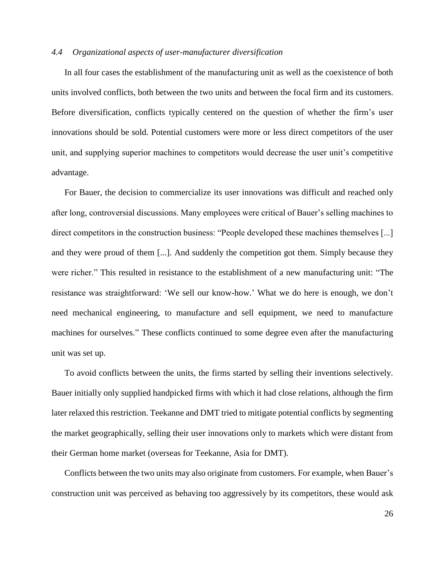# *4.4 Organizational aspects of user-manufacturer diversification*

In all four cases the establishment of the manufacturing unit as well as the coexistence of both units involved conflicts, both between the two units and between the focal firm and its customers. Before diversification, conflicts typically centered on the question of whether the firm's user innovations should be sold. Potential customers were more or less direct competitors of the user unit, and supplying superior machines to competitors would decrease the user unit's competitive advantage.

For Bauer, the decision to commercialize its user innovations was difficult and reached only after long, controversial discussions. Many employees were critical of Bauer's selling machines to direct competitors in the construction business: "People developed these machines themselves [...] and they were proud of them [...]. And suddenly the competition got them. Simply because they were richer." This resulted in resistance to the establishment of a new manufacturing unit: "The resistance was straightforward: 'We sell our know-how.' What we do here is enough, we don't need mechanical engineering, to manufacture and sell equipment, we need to manufacture machines for ourselves." These conflicts continued to some degree even after the manufacturing unit was set up.

To avoid conflicts between the units, the firms started by selling their inventions selectively. Bauer initially only supplied handpicked firms with which it had close relations, although the firm later relaxed this restriction. Teekanne and DMT tried to mitigate potential conflicts by segmenting the market geographically, selling their user innovations only to markets which were distant from their German home market (overseas for Teekanne, Asia for DMT).

Conflicts between the two units may also originate from customers. For example, when Bauer's construction unit was perceived as behaving too aggressively by its competitors, these would ask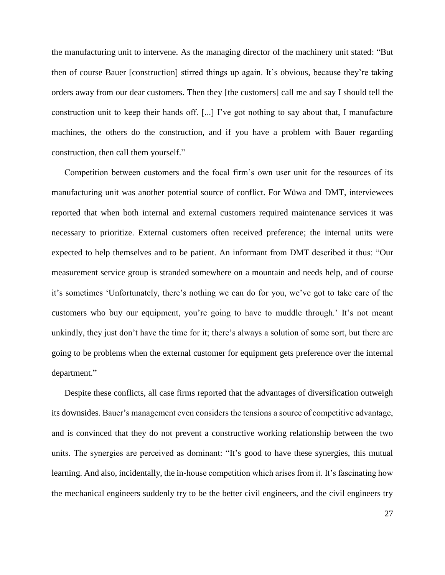the manufacturing unit to intervene. As the managing director of the machinery unit stated: "But then of course Bauer [construction] stirred things up again. It's obvious, because they're taking orders away from our dear customers. Then they [the customers] call me and say I should tell the construction unit to keep their hands off. [...] I've got nothing to say about that, I manufacture machines, the others do the construction, and if you have a problem with Bauer regarding construction, then call them yourself."

Competition between customers and the focal firm's own user unit for the resources of its manufacturing unit was another potential source of conflict. For Wüwa and DMT, interviewees reported that when both internal and external customers required maintenance services it was necessary to prioritize. External customers often received preference; the internal units were expected to help themselves and to be patient. An informant from DMT described it thus: "Our measurement service group is stranded somewhere on a mountain and needs help, and of course it's sometimes 'Unfortunately, there's nothing we can do for you, we've got to take care of the customers who buy our equipment, you're going to have to muddle through.' It's not meant unkindly, they just don't have the time for it; there's always a solution of some sort, but there are going to be problems when the external customer for equipment gets preference over the internal department."

Despite these conflicts, all case firms reported that the advantages of diversification outweigh its downsides. Bauer's management even considers the tensions a source of competitive advantage, and is convinced that they do not prevent a constructive working relationship between the two units. The synergies are perceived as dominant: "It's good to have these synergies, this mutual learning. And also, incidentally, the in-house competition which arises from it. It's fascinating how the mechanical engineers suddenly try to be the better civil engineers, and the civil engineers try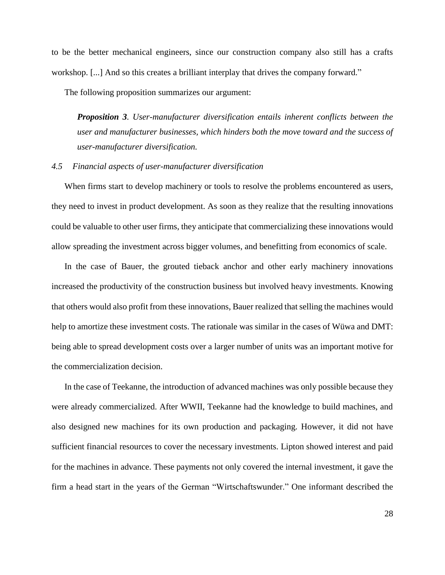to be the better mechanical engineers, since our construction company also still has a crafts workshop. [...] And so this creates a brilliant interplay that drives the company forward."

The following proposition summarizes our argument:

*Proposition 3. User-manufacturer diversification entails inherent conflicts between the user and manufacturer businesses, which hinders both the move toward and the success of user-manufacturer diversification.* 

# *4.5 Financial aspects of user-manufacturer diversification*

When firms start to develop machinery or tools to resolve the problems encountered as users, they need to invest in product development. As soon as they realize that the resulting innovations could be valuable to other user firms, they anticipate that commercializing these innovations would allow spreading the investment across bigger volumes, and benefitting from economics of scale.

In the case of Bauer, the grouted tieback anchor and other early machinery innovations increased the productivity of the construction business but involved heavy investments. Knowing that others would also profit from these innovations, Bauer realized that selling the machines would help to amortize these investment costs. The rationale was similar in the cases of Wüwa and DMT: being able to spread development costs over a larger number of units was an important motive for the commercialization decision.

In the case of Teekanne, the introduction of advanced machines was only possible because they were already commercialized. After WWII, Teekanne had the knowledge to build machines, and also designed new machines for its own production and packaging. However, it did not have sufficient financial resources to cover the necessary investments. Lipton showed interest and paid for the machines in advance. These payments not only covered the internal investment, it gave the firm a head start in the years of the German "Wirtschaftswunder." One informant described the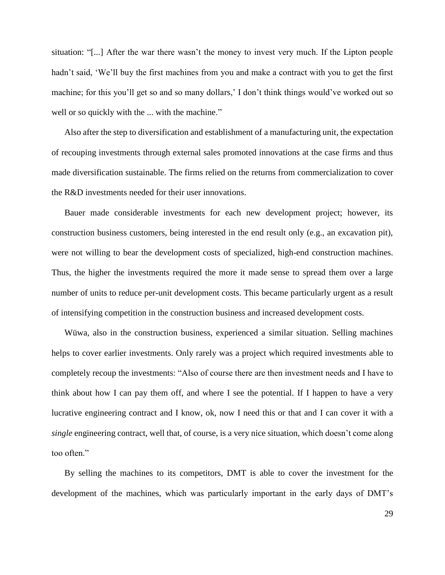situation: "[...] After the war there wasn't the money to invest very much. If the Lipton people hadn't said, 'We'll buy the first machines from you and make a contract with you to get the first machine; for this you'll get so and so many dollars,' I don't think things would've worked out so well or so quickly with the ... with the machine."

Also after the step to diversification and establishment of a manufacturing unit, the expectation of recouping investments through external sales promoted innovations at the case firms and thus made diversification sustainable. The firms relied on the returns from commercialization to cover the R&D investments needed for their user innovations.

Bauer made considerable investments for each new development project; however, its construction business customers, being interested in the end result only (e.g., an excavation pit), were not willing to bear the development costs of specialized, high-end construction machines. Thus, the higher the investments required the more it made sense to spread them over a large number of units to reduce per-unit development costs. This became particularly urgent as a result of intensifying competition in the construction business and increased development costs.

Wüwa, also in the construction business, experienced a similar situation. Selling machines helps to cover earlier investments. Only rarely was a project which required investments able to completely recoup the investments: "Also of course there are then investment needs and I have to think about how I can pay them off, and where I see the potential. If I happen to have a very lucrative engineering contract and I know, ok, now I need this or that and I can cover it with a *single* engineering contract, well that, of course, is a very nice situation, which doesn't come along too often."

By selling the machines to its competitors, DMT is able to cover the investment for the development of the machines, which was particularly important in the early days of DMT's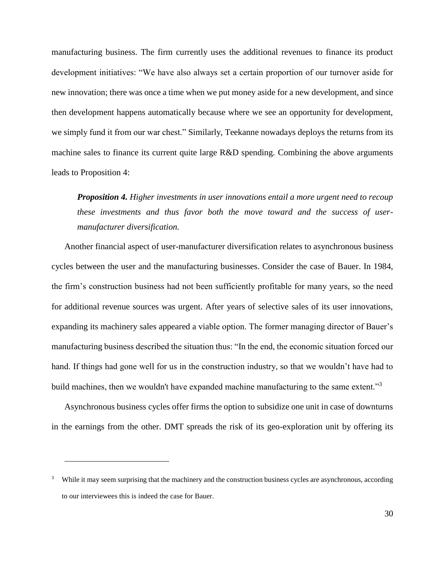manufacturing business. The firm currently uses the additional revenues to finance its product development initiatives: "We have also always set a certain proportion of our turnover aside for new innovation; there was once a time when we put money aside for a new development, and since then development happens automatically because where we see an opportunity for development, we simply fund it from our war chest." Similarly, Teekanne nowadays deploys the returns from its machine sales to finance its current quite large R&D spending. Combining the above arguments leads to Proposition 4:

*Proposition 4. Higher investments in user innovations entail a more urgent need to recoup these investments and thus favor both the move toward and the success of usermanufacturer diversification.*

Another financial aspect of user-manufacturer diversification relates to asynchronous business cycles between the user and the manufacturing businesses. Consider the case of Bauer. In 1984, the firm's construction business had not been sufficiently profitable for many years, so the need for additional revenue sources was urgent. After years of selective sales of its user innovations, expanding its machinery sales appeared a viable option. The former managing director of Bauer's manufacturing business described the situation thus: "In the end, the economic situation forced our hand. If things had gone well for us in the construction industry, so that we wouldn't have had to build machines, then we wouldn't have expanded machine manufacturing to the same extent."<sup>3</sup>

Asynchronous business cycles offer firms the option to subsidize one unit in case of downturns in the earnings from the other. DMT spreads the risk of its geo-exploration unit by offering its

 $\overline{a}$ 

<sup>&</sup>lt;sup>3</sup> While it may seem surprising that the machinery and the construction business cycles are asynchronous, according to our interviewees this is indeed the case for Bauer.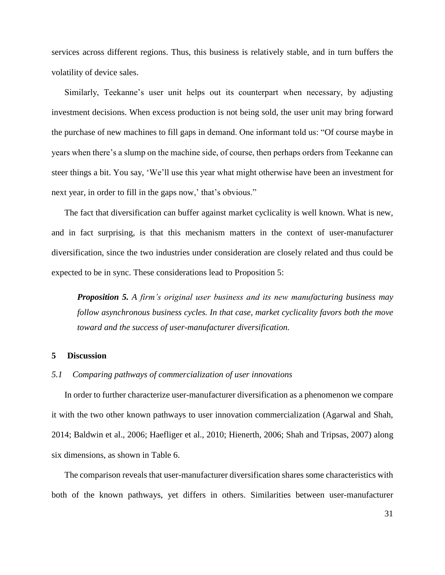services across different regions. Thus, this business is relatively stable, and in turn buffers the volatility of device sales.

Similarly, Teekanne's user unit helps out its counterpart when necessary, by adjusting investment decisions. When excess production is not being sold, the user unit may bring forward the purchase of new machines to fill gaps in demand. One informant told us: "Of course maybe in years when there's a slump on the machine side, of course, then perhaps orders from Teekanne can steer things a bit. You say, 'We'll use this year what might otherwise have been an investment for next year, in order to fill in the gaps now,' that's obvious."

The fact that diversification can buffer against market cyclicality is well known. What is new, and in fact surprising, is that this mechanism matters in the context of user-manufacturer diversification, since the two industries under consideration are closely related and thus could be expected to be in sync. These considerations lead to Proposition 5:

*Proposition 5. A firm's original user business and its new manufacturing business may follow asynchronous business cycles. In that case, market cyclicality favors both the move toward and the success of user-manufacturer diversification.* 

# **5 Discussion**

# *5.1 Comparing pathways of commercialization of user innovations*

In order to further characterize user-manufacturer diversification as a phenomenon we compare it with the two other known pathways to user innovation commercialization [\(Agarwal and Shah,](#page-41-9)  [2014;](#page-41-9) [Baldwin et al., 2006;](#page-41-0) [Haefliger et al., 2010;](#page-42-1) [Hienerth, 2006;](#page-43-9) [Shah and Tripsas, 2007\)](#page-44-0) along six dimensions, as shown in [Table 6.](#page-50-0)

The comparison reveals that user-manufacturer diversification shares some characteristics with both of the known pathways, yet differs in others. Similarities between user-manufacturer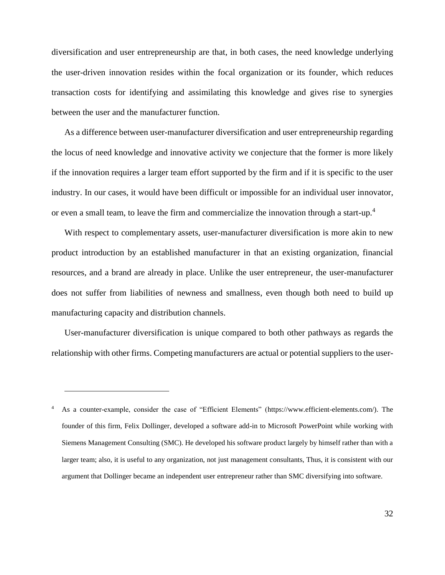diversification and user entrepreneurship are that, in both cases, the need knowledge underlying the user-driven innovation resides within the focal organization or its founder, which reduces transaction costs for identifying and assimilating this knowledge and gives rise to synergies between the user and the manufacturer function.

As a difference between user-manufacturer diversification and user entrepreneurship regarding the locus of need knowledge and innovative activity we conjecture that the former is more likely if the innovation requires a larger team effort supported by the firm and if it is specific to the user industry. In our cases, it would have been difficult or impossible for an individual user innovator, or even a small team, to leave the firm and commercialize the innovation through a start-up.<sup>4</sup>

With respect to complementary assets, user-manufacturer diversification is more akin to new product introduction by an established manufacturer in that an existing organization, financial resources, and a brand are already in place. Unlike the user entrepreneur, the user-manufacturer does not suffer from liabilities of newness and smallness, even though both need to build up manufacturing capacity and distribution channels.

User-manufacturer diversification is unique compared to both other pathways as regards the relationship with other firms. Competing manufacturers are actual or potential suppliers to the user-

 $\overline{a}$ 

<sup>4</sup> As a counter-example, consider the case of "Efficient Elements" (https://www.efficient-elements.com/). The founder of this firm, Felix Dollinger, developed a software add-in to Microsoft PowerPoint while working with Siemens Management Consulting (SMC). He developed his software product largely by himself rather than with a larger team; also, it is useful to any organization, not just management consultants, Thus, it is consistent with our argument that Dollinger became an independent user entrepreneur rather than SMC diversifying into software.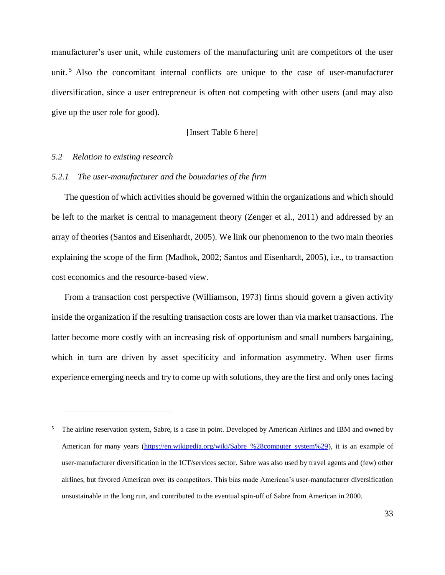<span id="page-32-0"></span>manufacturer's user unit, while customers of the manufacturing unit are competitors of the user unit.<sup>5</sup> Also the concomitant internal conflicts are unique to the case of user-manufacturer diversification, since a user entrepreneur is often not competing with other users (and may also give up the user role for good).

# [Insert [Table 6](#page-50-0) here]

### *5.2 Relation to existing research*

 $\overline{a}$ 

# *5.2.1 The user-manufacturer and the boundaries of the firm*

The question of which activities should be governed within the organizations and which should be left to the market is central to management theory [\(Zenger et al., 2011\)](#page-45-15) and addressed by an array of theories [\(Santos and Eisenhardt, 2005\)](#page-44-1). We link our phenomenon to the two main theories explaining the scope of the firm [\(Madhok, 2002;](#page-43-10) [Santos and Eisenhardt, 2005\)](#page-44-1), i.e., to transaction cost economics and the resource-based view.

From a transaction cost perspective [\(Williamson, 1973\)](#page-45-11) firms should govern a given activity inside the organization if the resulting transaction costs are lower than via market transactions. The latter become more costly with an increasing risk of opportunism and small numbers bargaining, which in turn are driven by asset specificity and information asymmetry. When user firms experience emerging needs and try to come up with solutions, they are the first and only ones facing

<sup>5</sup> The airline reservation system, Sabre, is a case in point. Developed by American Airlines and IBM and owned by American for many years (https://en.wikipedia.org/wiki/Sabre %28computer system%29), it is an example of user-manufacturer diversification in the ICT/services sector. Sabre was also used by travel agents and (few) other airlines, but favored American over its competitors. This bias made American's user-manufacturer diversification unsustainable in the long run, and contributed to the eventual spin-off of Sabre from American in 2000.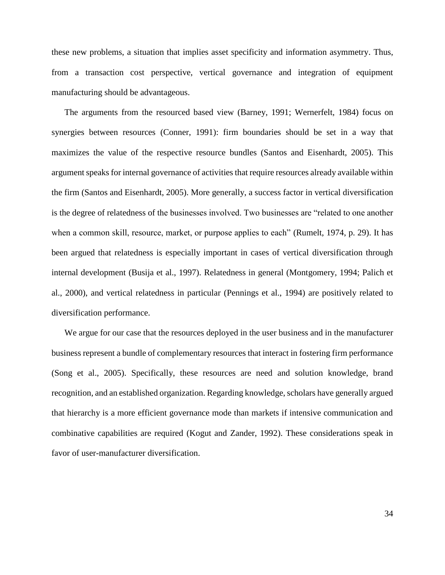these new problems, a situation that implies asset specificity and information asymmetry. Thus, from a transaction cost perspective, vertical governance and integration of equipment manufacturing should be advantageous.

The arguments from the resourced based view [\(Barney, 1991;](#page-41-10) [Wernerfelt, 1984\)](#page-45-12) focus on synergies between resources [\(Conner, 1991\)](#page-42-15): firm boundaries should be set in a way that maximizes the value of the respective resource bundles [\(Santos and Eisenhardt, 2005\)](#page-44-1). This argument speaks for internal governance of activities that require resources already available within the firm [\(Santos and Eisenhardt, 2005\)](#page-44-1). More generally, a success factor in vertical diversification is the degree of relatedness of the businesses involved. Two businesses are "related to one another when a common skill, resource, market, or purpose applies to each" [\(Rumelt, 1974, p. 29\)](#page-44-10). It has been argued that relatedness is especially important in cases of vertical diversification through internal development [\(Busija et al., 1997\)](#page-41-11). Relatedness in general [\(Montgomery, 1994;](#page-44-11) [Palich et](#page-44-12)  [al., 2000\)](#page-44-12), and vertical relatedness in particular [\(Pennings et al., 1994\)](#page-44-13) are positively related to diversification performance.

We argue for our case that the resources deployed in the user business and in the manufacturer business represent a bundle of complementary resources that interact in fostering firm performance [\(Song et al., 2005\)](#page-44-14). Specifically, these resources are need and solution knowledge, brand recognition, and an established organization. Regarding knowledge, scholars have generally argued that hierarchy is a more efficient governance mode than markets if intensive communication and combinative capabilities are required [\(Kogut and Zander, 1992\)](#page-43-11). These considerations speak in favor of user-manufacturer diversification.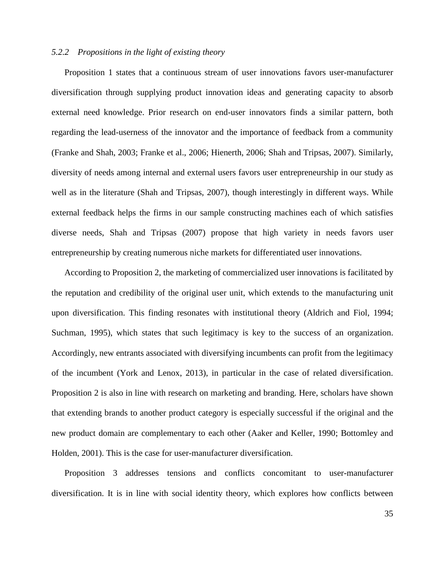# *5.2.2 Propositions in the light of existing theory*

Proposition 1 states that a continuous stream of user innovations favors user-manufacturer diversification through supplying product innovation ideas and generating capacity to absorb external need knowledge. Prior research on end-user innovators finds a similar pattern, both regarding the lead-userness of the innovator and the importance of feedback from a community [\(Franke and Shah, 2003;](#page-42-16) [Franke et al., 2006;](#page-42-6) [Hienerth, 2006;](#page-43-9) [Shah and Tripsas, 2007\)](#page-44-0). Similarly, diversity of needs among internal and external users favors user entrepreneurship in our study as well as in the literature [\(Shah and Tripsas, 2007\)](#page-44-0), though interestingly in different ways. While external feedback helps the firms in our sample constructing machines each of which satisfies diverse needs, Shah and Tripsas [\(2007\)](#page-44-0) propose that high variety in needs favors user entrepreneurship by creating numerous niche markets for differentiated user innovations.

According to Proposition 2, the marketing of commercialized user innovations is facilitated by the reputation and credibility of the original user unit, which extends to the manufacturing unit upon diversification. This finding resonates with institutional theory [\(Aldrich and Fiol, 1994;](#page-41-12) [Suchman, 1995\)](#page-44-15), which states that such legitimacy is key to the success of an organization. Accordingly, new entrants associated with diversifying incumbents can profit from the legitimacy of the incumbent [\(York and Lenox, 2013\)](#page-45-16), in particular in the case of related diversification. Proposition 2 is also in line with research on marketing and branding. Here, scholars have shown that extending brands to another product category is especially successful if the original and the new product domain are complementary to each other [\(Aaker and Keller, 1990;](#page-41-13) [Bottomley and](#page-41-14)  [Holden, 2001\)](#page-41-14). This is the case for user-manufacturer diversification.

Proposition 3 addresses tensions and conflicts concomitant to user-manufacturer diversification. It is in line with social identity theory, which explores how conflicts between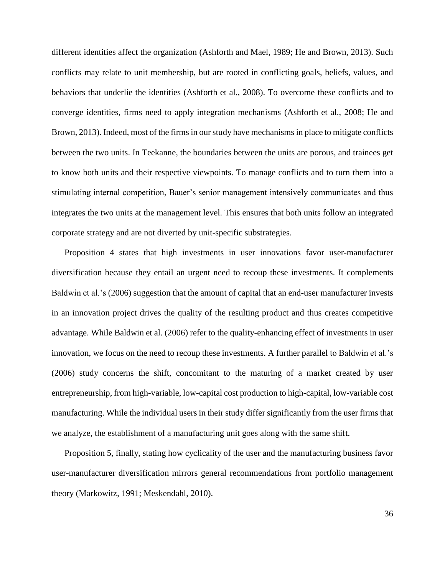different identities affect the organization [\(Ashforth and Mael, 1989;](#page-41-15) [He and Brown, 2013\)](#page-43-12). Such conflicts may relate to unit membership, but are rooted in conflicting goals, beliefs, values, and behaviors that underlie the identities [\(Ashforth et al., 2008\)](#page-41-16). To overcome these conflicts and to converge identities, firms need to apply integration mechanisms [\(Ashforth et al., 2008;](#page-41-16) [He and](#page-43-12)  [Brown, 2013\)](#page-43-12). Indeed, most of the firms in our study have mechanisms in place to mitigate conflicts between the two units. In Teekanne, the boundaries between the units are porous, and trainees get to know both units and their respective viewpoints. To manage conflicts and to turn them into a stimulating internal competition, Bauer's senior management intensively communicates and thus integrates the two units at the management level. This ensures that both units follow an integrated corporate strategy and are not diverted by unit-specific substrategies.

Proposition 4 states that high investments in user innovations favor user-manufacturer diversification because they entail an urgent need to recoup these investments. It complements Baldwin et al.'s [\(2006\)](#page-41-0) suggestion that the amount of capital that an end-user manufacturer invests in an innovation project drives the quality of the resulting product and thus creates competitive advantage. While Baldwin et al. [\(2006\)](#page-41-0) refer to the quality-enhancing effect of investments in user innovation, we focus on the need to recoup these investments. A further parallel to Baldwin et al.'s (2006) study concerns the shift, concomitant to the maturing of a market created by user entrepreneurship, from high-variable, low-capital cost production to high-capital, low-variable cost manufacturing. While the individual users in their study differ significantly from the user firms that we analyze, the establishment of a manufacturing unit goes along with the same shift.

Proposition 5, finally, stating how cyclicality of the user and the manufacturing business favor user-manufacturer diversification mirrors general recommendations from portfolio management theory [\(Markowitz, 1991;](#page-43-13) [Meskendahl, 2010\)](#page-43-14).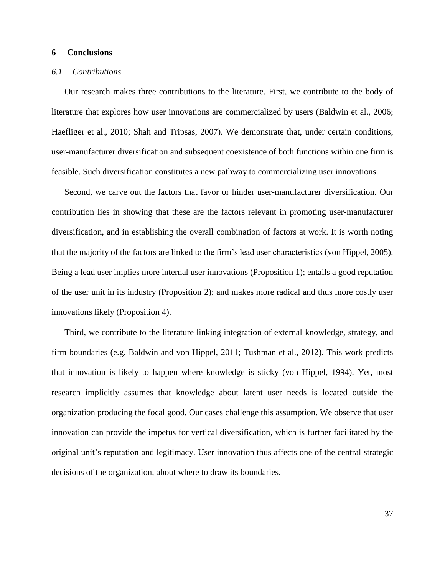# **6 Conclusions**

#### *6.1 Contributions*

Our research makes three contributions to the literature. First, we contribute to the body of literature that explores how user innovations are commercialized by users [\(Baldwin et al., 2006;](#page-41-0) [Haefliger et al., 2010;](#page-42-1) [Shah and Tripsas, 2007\)](#page-44-0). We demonstrate that, under certain conditions, user-manufacturer diversification and subsequent coexistence of both functions within one firm is feasible. Such diversification constitutes a new pathway to commercializing user innovations.

Second, we carve out the factors that favor or hinder user-manufacturer diversification. Our contribution lies in showing that these are the factors relevant in promoting user-manufacturer diversification, and in establishing the overall combination of factors at work. It is worth noting that the majority of the factors are linked to the firm's lead user characteristics [\(von Hippel, 2005\)](#page-45-1). Being a lead user implies more internal user innovations (Proposition 1); entails a good reputation of the user unit in its industry (Proposition 2); and makes more radical and thus more costly user innovations likely (Proposition 4).

Third, we contribute to the literature linking integration of external knowledge, strategy, and firm boundaries (e.g. [Baldwin and von Hippel, 2011;](#page-41-17) [Tushman et al., 2012\)](#page-45-3). This work predicts that innovation is likely to happen where knowledge is sticky [\(von Hippel, 1994\)](#page-45-4). Yet, most research implicitly assumes that knowledge about latent user needs is located outside the organization producing the focal good. Our cases challenge this assumption. We observe that user innovation can provide the impetus for vertical diversification, which is further facilitated by the original unit's reputation and legitimacy. User innovation thus affects one of the central strategic decisions of the organization, about where to draw its boundaries.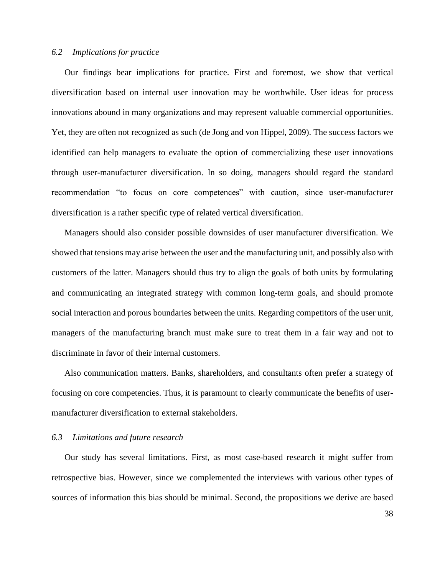# *6.2 Implications for practice*

Our findings bear implications for practice. First and foremost, we show that vertical diversification based on internal user innovation may be worthwhile. User ideas for process innovations abound in many organizations and may represent valuable commercial opportunities. Yet, they are often not recognized as such [\(de Jong and von Hippel, 2009\)](#page-42-3). The success factors we identified can help managers to evaluate the option of commercializing these user innovations through user-manufacturer diversification. In so doing, managers should regard the standard recommendation "to focus on core competences" with caution, since user-manufacturer diversification is a rather specific type of related vertical diversification.

Managers should also consider possible downsides of user manufacturer diversification. We showed that tensions may arise between the user and the manufacturing unit, and possibly also with customers of the latter. Managers should thus try to align the goals of both units by formulating and communicating an integrated strategy with common long-term goals, and should promote social interaction and porous boundaries between the units. Regarding competitors of the user unit, managers of the manufacturing branch must make sure to treat them in a fair way and not to discriminate in favor of their internal customers.

Also communication matters. Banks, shareholders, and consultants often prefer a strategy of focusing on core competencies. Thus, it is paramount to clearly communicate the benefits of usermanufacturer diversification to external stakeholders.

### *6.3 Limitations and future research*

Our study has several limitations. First, as most case-based research it might suffer from retrospective bias. However, since we complemented the interviews with various other types of sources of information this bias should be minimal. Second, the propositions we derive are based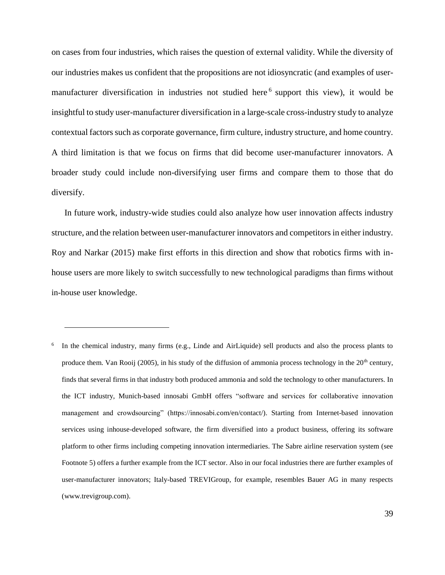on cases from four industries, which raises the question of external validity. While the diversity of our industries makes us confident that the propositions are not idiosyncratic (and examples of usermanufacturer diversification in industries not studied here <sup>6</sup> support this view), it would be insightful to study user-manufacturer diversification in a large-scale cross-industry study to analyze contextual factors such as corporate governance, firm culture, industry structure, and home country. A third limitation is that we focus on firms that did become user-manufacturer innovators. A broader study could include non-diversifying user firms and compare them to those that do diversify.

In future work, industry-wide studies could also analyze how user innovation affects industry structure, and the relation between user-manufacturer innovators and competitors in either industry. Roy and Narkar [\(2015\)](#page-44-16) make first efforts in this direction and show that robotics firms with inhouse users are more likely to switch successfully to new technological paradigms than firms without in-house user knowledge.

 $\overline{a}$ 

<sup>6</sup> In the chemical industry, many firms (e.g., Linde and AirLiquide) sell products and also the process plants to produce them. Van Rooij [\(2005\)](#page-45-17), in his study of the diffusion of ammonia process technology in the 20<sup>th</sup> century, finds that several firms in that industry both produced ammonia and sold the technology to other manufacturers. In the ICT industry, Munich-based innosabi GmbH offers "software and services for collaborative innovation management and crowdsourcing" (https://innosabi.com/en/contact/). Starting from Internet-based innovation services using inhouse-developed software, the firm diversified into a product business, offering its software platform to other firms including competing innovation intermediaries. The Sabre airline reservation system (see Footnote [5\)](#page-32-0) offers a further example from the ICT sector. Also in our focal industries there are further examples of user-manufacturer innovators; Italy-based TREVIGroup, for example, resembles Bauer AG in many respects (www.trevigroup.com).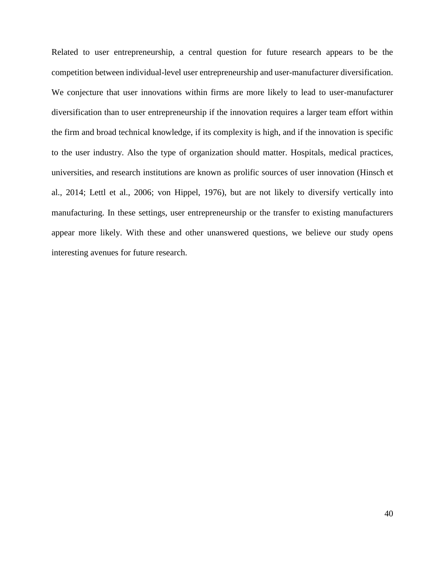Related to user entrepreneurship, a central question for future research appears to be the competition between individual-level user entrepreneurship and user-manufacturer diversification. We conjecture that user innovations within firms are more likely to lead to user-manufacturer diversification than to user entrepreneurship if the innovation requires a larger team effort within the firm and broad technical knowledge, if its complexity is high, and if the innovation is specific to the user industry. Also the type of organization should matter. Hospitals, medical practices, universities, and research institutions are known as prolific sources of user innovation [\(Hinsch et](#page-43-15)  [al., 2014;](#page-43-15) [Lettl et al., 2006;](#page-43-5) [von Hippel, 1976\)](#page-45-6), but are not likely to diversify vertically into manufacturing. In these settings, user entrepreneurship or the transfer to existing manufacturers appear more likely. With these and other unanswered questions, we believe our study opens interesting avenues for future research.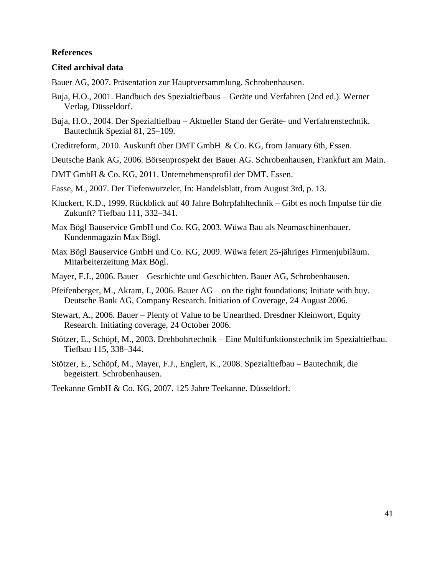# **References**

### **Cited archival data**

- Bauer AG, 2007. Präsentation zur Hauptversammlung. Schrobenhausen.
- Buja, H.O., 2001. Handbuch des Spezialtiefbaus Geräte und Verfahren (2nd ed.). Werner Verlag, Düsseldorf.
- Buja, H.O., 2004. Der Spezialtiefbau Aktueller Stand der Geräte- und Verfahrenstechnik. Bautechnik Spezial 81, 25–109.
- Creditreform, 2010. Auskunft über DMT GmbH & Co. KG, from January 6th, Essen.
- Deutsche Bank AG, 2006. Börsenprospekt der Bauer AG. Schrobenhausen, Frankfurt am Main.
- DMT GmbH & Co. KG, 2011. Unternehmensprofil der DMT. Essen.
- Fasse, M., 2007. Der Tiefenwurzeler, In: Handelsblatt, from August 3rd, p. 13.
- Kluckert, K.D., 1999. Rückblick auf 40 Jahre Bohrpfahltechnik Gibt es noch Impulse für die Zukunft? Tiefbau 111, 332–341.
- Max Bögl Bauservice GmbH und Co. KG, 2003. Wüwa Bau als Neumaschinenbauer. Kundenmagazin Max Bögl.
- Max Bögl Bauservice GmbH und Co. KG, 2009. Wüwa feiert 25-jähriges Firmenjubiläum. Mitarbeiterzeitung Max Bögl.
- Mayer, F.J., 2006. Bauer Geschichte und Geschichten. Bauer AG, Schrobenhausen.
- Pfeifenberger, M., Akram, I., 2006. Bauer AG on the right foundations; Initiate with buy. Deutsche Bank AG, Company Research. Initiation of Coverage, 24 August 2006.
- Stewart, A., 2006. Bauer Plenty of Value to be Unearthed. Dresdner Kleinwort, Equity Research. Initiating coverage, 24 October 2006.
- Stötzer, E., Schöpf, M., 2003. Drehbohrtechnik Eine Multifunktionstechnik im Spezialtiefbau. Tiefbau 115, 338–344.
- Stötzer, E., Schöpf, M., Mayer, F.J., Englert, K., 2008. Spezialtiefbau Bautechnik, die begeistert. Schrobenhausen.

Teekanne GmbH & Co. KG, 2007. 125 Jahre Teekanne. Düsseldorf.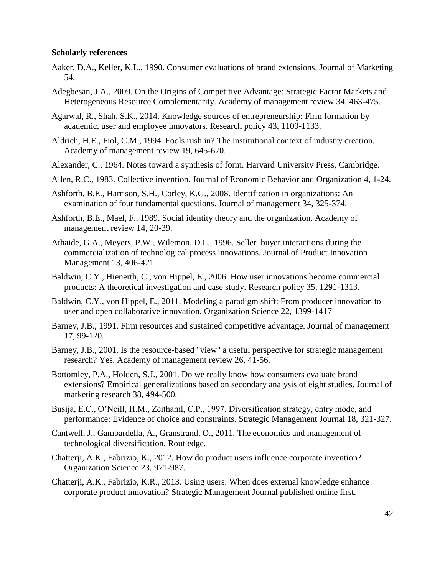### **Scholarly references**

- <span id="page-41-13"></span>Aaker, D.A., Keller, K.L., 1990. Consumer evaluations of brand extensions. Journal of Marketing 54.
- <span id="page-41-7"></span>Adegbesan, J.A., 2009. On the Origins of Competitive Advantage: Strategic Factor Markets and Heterogeneous Resource Complementarity. Academy of management review 34, 463-475.
- <span id="page-41-9"></span>Agarwal, R., Shah, S.K., 2014. Knowledge sources of entrepreneurship: Firm formation by academic, user and employee innovators. Research policy 43, 1109-1133.
- <span id="page-41-12"></span>Aldrich, H.E., Fiol, C.M., 1994. Fools rush in? The institutional context of industry creation. Academy of management review 19, 645-670.
- <span id="page-41-1"></span>Alexander, C., 1964. Notes toward a synthesis of form. Harvard University Press, Cambridge.
- <span id="page-41-5"></span>Allen, R.C., 1983. Collective invention. Journal of Economic Behavior and Organization 4, 1-24.
- <span id="page-41-16"></span>Ashforth, B.E., Harrison, S.H., Corley, K.G., 2008. Identification in organizations: An examination of four fundamental questions. Journal of management 34, 325-374.
- <span id="page-41-15"></span>Ashforth, B.E., Mael, F., 1989. Social identity theory and the organization. Academy of management review 14, 20-39.
- <span id="page-41-3"></span>Athaide, G.A., Meyers, P.W., Wilemon, D.L., 1996. Seller–buyer interactions during the commercialization of technological process innovations. Journal of Product Innovation Management 13, 406-421.
- <span id="page-41-0"></span>Baldwin, C.Y., Hienerth, C., von Hippel, E., 2006. How user innovations become commercial products: A theoretical investigation and case study. Research policy 35, 1291-1313.
- <span id="page-41-17"></span>Baldwin, C.Y., von Hippel, E., 2011. Modeling a paradigm shift: From producer innovation to user and open collaborative innovation. Organization Science 22, 1399-1417
- <span id="page-41-10"></span>Barney, J.B., 1991. Firm resources and sustained competitive advantage. Journal of management 17, 99-120.
- <span id="page-41-6"></span>Barney, J.B., 2001. Is the resource-based "view" a useful perspective for strategic management research? Yes. Academy of management review 26, 41-56.
- <span id="page-41-14"></span>Bottomley, P.A., Holden, S.J., 2001. Do we really know how consumers evaluate brand extensions? Empirical generalizations based on secondary analysis of eight studies. Journal of marketing research 38, 494-500.
- <span id="page-41-11"></span>Busija, E.C., O'Neill, H.M., Zeithaml, C.P., 1997. Diversification strategy, entry mode, and performance: Evidence of choice and constraints. Strategic Management Journal 18, 321-327.
- <span id="page-41-8"></span>Cantwell, J., Gambardella, A., Granstrand, O., 2011. The economics and management of technological diversification. Routledge.
- <span id="page-41-2"></span>Chatterji, A.K., Fabrizio, K., 2012. How do product users influence corporate invention? Organization Science 23, 971-987.
- <span id="page-41-4"></span>Chatterji, A.K., Fabrizio, K.R., 2013. Using users: When does external knowledge enhance corporate product innovation? Strategic Management Journal published online first.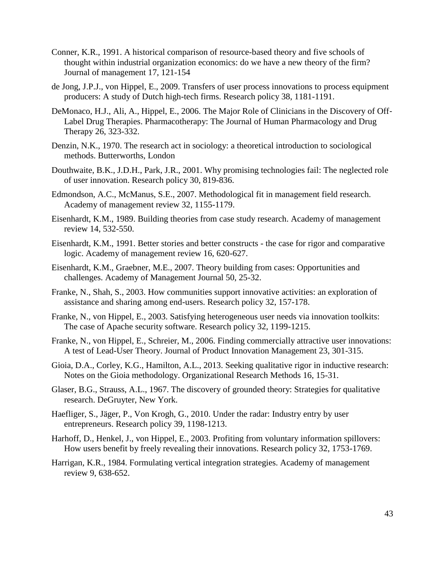- <span id="page-42-15"></span>Conner, K.R., 1991. A historical comparison of resource-based theory and five schools of thought within industrial organization economics: do we have a new theory of the firm? Journal of management 17, 121-154
- <span id="page-42-3"></span>de Jong, J.P.J., von Hippel, E., 2009. Transfers of user process innovations to process equipment producers: A study of Dutch high-tech firms. Research policy 38, 1181-1191.
- <span id="page-42-5"></span>DeMonaco, H.J., Ali, A., Hippel, E., 2006. The Major Role of Clinicians in the Discovery of Off‐ Label Drug Therapies. Pharmacotherapy: The Journal of Human Pharmacology and Drug Therapy 26, 323-332.
- <span id="page-42-12"></span>Denzin, N.K., 1970. The research act in sociology: a theoretical introduction to sociological methods. Butterworths, London
- <span id="page-42-2"></span>Douthwaite, B.K., J.D.H., Park, J.R., 2001. Why promising technologies fail: The neglected role of user innovation. Research policy 30, 819-836.
- <span id="page-42-8"></span>Edmondson, A.C., McManus, S.E., 2007. Methodological fit in management field research. Academy of management review 32, 1155-1179.
- <span id="page-42-11"></span>Eisenhardt, K.M., 1989. Building theories from case study research. Academy of management review 14, 532-550.
- <span id="page-42-10"></span>Eisenhardt, K.M., 1991. Better stories and better constructs - the case for rigor and comparative logic. Academy of management review 16, 620-627.
- <span id="page-42-9"></span>Eisenhardt, K.M., Graebner, M.E., 2007. Theory building from cases: Opportunities and challenges. Academy of Management Journal 50, 25-32.
- <span id="page-42-16"></span>Franke, N., Shah, S., 2003. How communities support innovative activities: an exploration of assistance and sharing among end-users. Research policy 32, 157-178.
- <span id="page-42-0"></span>Franke, N., von Hippel, E., 2003. Satisfying heterogeneous user needs via innovation toolkits: The case of Apache security software. Research policy 32, 1199-1215.
- <span id="page-42-6"></span>Franke, N., von Hippel, E., Schreier, M., 2006. Finding commercially attractive user innovations: A test of Lead-User Theory. Journal of Product Innovation Management 23, 301-315.
- <span id="page-42-13"></span>Gioia, D.A., Corley, K.G., Hamilton, A.L., 2013. Seeking qualitative rigor in inductive research: Notes on the Gioia methodology. Organizational Research Methods 16, 15-31.
- <span id="page-42-14"></span>Glaser, B.G., Strauss, A.L., 1967. The discovery of grounded theory: Strategies for qualitative research. DeGruyter, New York.
- <span id="page-42-1"></span>Haefliger, S., Jäger, P., Von Krogh, G., 2010. Under the radar: Industry entry by user entrepreneurs. Research policy 39, 1198-1213.
- <span id="page-42-4"></span>Harhoff, D., Henkel, J., von Hippel, E., 2003. Profiting from voluntary information spillovers: How users benefit by freely revealing their innovations. Research policy 32, 1753-1769.
- <span id="page-42-7"></span>Harrigan, K.R., 1984. Formulating vertical integration strategies. Academy of management review 9, 638-652.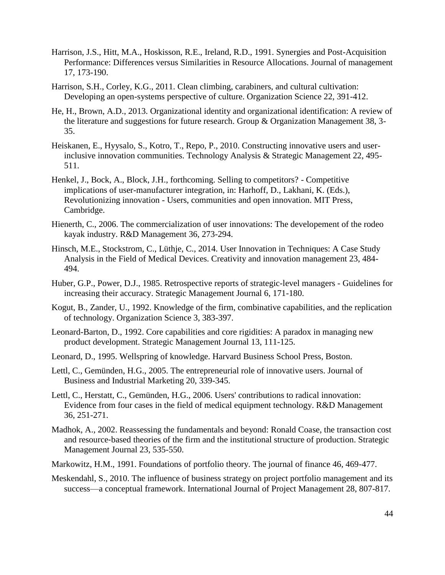- <span id="page-43-6"></span>Harrison, J.S., Hitt, M.A., Hoskisson, R.E., Ireland, R.D., 1991. Synergies and Post-Acquisition Performance: Differences versus Similarities in Resource Allocations. Journal of management 17, 173-190.
- <span id="page-43-0"></span>Harrison, S.H., Corley, K.G., 2011. Clean climbing, carabiners, and cultural cultivation: Developing an open-systems perspective of culture. Organization Science 22, 391-412.
- <span id="page-43-12"></span>He, H., Brown, A.D., 2013. Organizational identity and organizational identification: A review of the literature and suggestions for future research. Group & Organization Management 38, 3- 35.
- <span id="page-43-1"></span>Heiskanen, E., Hyysalo, S., Kotro, T., Repo, P., 2010. Constructing innovative users and userinclusive innovation communities. Technology Analysis & Strategic Management 22, 495- 511.
- <span id="page-43-8"></span>Henkel, J., Bock, A., Block, J.H., forthcoming. Selling to competitors? - Competitive implications of user-manufacturer integration, in: Harhoff, D., Lakhani, K. (Eds.), Revolutionizing innovation - Users, communities and open innovation. MIT Press, Cambridge.
- <span id="page-43-9"></span>Hienerth, C., 2006. The commercialization of user innovations: The developement of the rodeo kayak industry. R&D Management 36, 273-294.
- <span id="page-43-15"></span>Hinsch, M.E., Stockstrom, C., Lüthje, C., 2014. User Innovation in Techniques: A Case Study Analysis in the Field of Medical Devices. Creativity and innovation management 23, 484- 494.
- <span id="page-43-7"></span>Huber, G.P., Power, D.J., 1985. Retrospective reports of strategic-level managers - Guidelines for increasing their accuracy. Strategic Management Journal 6, 171-180.
- <span id="page-43-11"></span>Kogut, B., Zander, U., 1992. Knowledge of the firm, combinative capabilities, and the replication of technology. Organization Science 3, 383-397.
- <span id="page-43-2"></span>Leonard-Barton, D., 1992. Core capabilities and core rigidities: A paradox in managing new product development. Strategic Management Journal 13, 111-125.
- <span id="page-43-3"></span>Leonard, D., 1995. Wellspring of knowledge. Harvard Business School Press, Boston.
- <span id="page-43-4"></span>Lettl, C., Gemünden, H.G., 2005. The entrepreneurial role of innovative users. Journal of Business and Industrial Marketing 20, 339-345.
- <span id="page-43-5"></span>Lettl, C., Herstatt, C., Gemünden, H.G., 2006. Users' contributions to radical innovation: Evidence from four cases in the field of medical equipment technology. R&D Management 36, 251-271.
- <span id="page-43-10"></span>Madhok, A., 2002. Reassessing the fundamentals and beyond: Ronald Coase, the transaction cost and resource‐based theories of the firm and the institutional structure of production. Strategic Management Journal 23, 535-550.
- <span id="page-43-13"></span>Markowitz, H.M., 1991. Foundations of portfolio theory. The journal of finance 46, 469-477.
- <span id="page-43-14"></span>Meskendahl, S., 2010. The influence of business strategy on project portfolio management and its success—a conceptual framework. International Journal of Project Management 28, 807-817.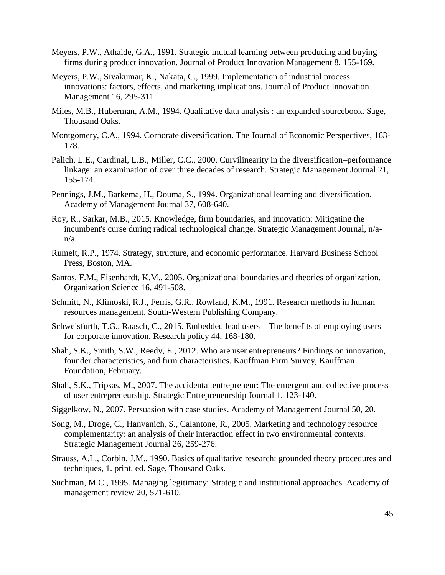- <span id="page-44-2"></span>Meyers, P.W., Athaide, G.A., 1991. Strategic mutual learning between producing and buying firms during product innovation. Journal of Product Innovation Management 8, 155-169.
- <span id="page-44-3"></span>Meyers, P.W., Sivakumar, K., Nakata, C., 1999. Implementation of industrial process innovations: factors, effects, and marketing implications. Journal of Product Innovation Management 16, 295-311.
- <span id="page-44-8"></span>Miles, M.B., Huberman, A.M., 1994. Qualitative data analysis : an expanded sourcebook. Sage, Thousand Oaks.
- <span id="page-44-11"></span>Montgomery, C.A., 1994. Corporate diversification. The Journal of Economic Perspectives, 163- 178.
- <span id="page-44-12"></span>Palich, L.E., Cardinal, L.B., Miller, C.C., 2000. Curvilinearity in the diversification–performance linkage: an examination of over three decades of research. Strategic Management Journal 21, 155-174.
- <span id="page-44-13"></span>Pennings, J.M., Barkema, H., Douma, S., 1994. Organizational learning and diversification. Academy of Management Journal 37, 608-640.
- <span id="page-44-16"></span>Roy, R., Sarkar, M.B., 2015. Knowledge, firm boundaries, and innovation: Mitigating the incumbent's curse during radical technological change. Strategic Management Journal, n/an/a.
- <span id="page-44-10"></span>Rumelt, R.P., 1974. Strategy, structure, and economic performance. Harvard Business School Press, Boston, MA.
- <span id="page-44-1"></span>Santos, F.M., Eisenhardt, K.M., 2005. Organizational boundaries and theories of organization. Organization Science 16, 491-508.
- <span id="page-44-9"></span>Schmitt, N., Klimoski, R.J., Ferris, G.R., Rowland, K.M., 1991. Research methods in human resources management. South-Western Publishing Company.
- <span id="page-44-4"></span>Schweisfurth, T.G., Raasch, C., 2015. Embedded lead users—The benefits of employing users for corporate innovation. Research policy 44, 168-180.
- <span id="page-44-5"></span>Shah, S.K., Smith, S.W., Reedy, E., 2012. Who are user entrepreneurs? Findings on innovation, founder characteristics, and firm characteristics. Kauffman Firm Survey, Kauffman Foundation, February.
- <span id="page-44-0"></span>Shah, S.K., Tripsas, M., 2007. The accidental entrepreneur: The emergent and collective process of user entrepreneurship. Strategic Entrepreneurship Journal 1, 123-140.
- <span id="page-44-6"></span>Siggelkow, N., 2007. Persuasion with case studies. Academy of Management Journal 50, 20.
- <span id="page-44-14"></span>Song, M., Droge, C., Hanvanich, S., Calantone, R., 2005. Marketing and technology resource complementarity: an analysis of their interaction effect in two environmental contexts. Strategic Management Journal 26, 259-276.
- <span id="page-44-7"></span>Strauss, A.L., Corbin, J.M., 1990. Basics of qualitative research: grounded theory procedures and techniques, 1. print. ed. Sage, Thousand Oaks.
- <span id="page-44-15"></span>Suchman, M.C., 1995. Managing legitimacy: Strategic and institutional approaches. Academy of management review 20, 571-610.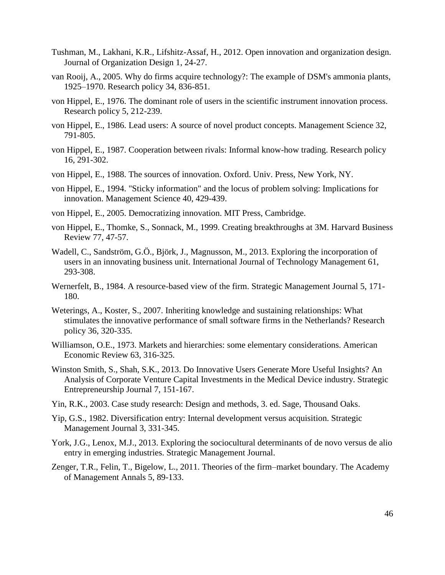- <span id="page-45-3"></span>Tushman, M., Lakhani, K.R., Lifshitz-Assaf, H., 2012. Open innovation and organization design. Journal of Organization Design 1, 24-27.
- <span id="page-45-17"></span>van Rooij, A., 2005. Why do firms acquire technology?: The example of DSM's ammonia plants, 1925–1970. Research policy 34, 836-851.
- <span id="page-45-6"></span>von Hippel, E., 1976. The dominant role of users in the scientific instrument innovation process. Research policy 5, 212-239.
- <span id="page-45-8"></span>von Hippel, E., 1986. Lead users: A source of novel product concepts. Management Science 32, 791-805.
- <span id="page-45-5"></span>von Hippel, E., 1987. Cooperation between rivals: Informal know-how trading. Research policy 16, 291-302.
- <span id="page-45-0"></span>von Hippel, E., 1988. The sources of innovation. Oxford. Univ. Press, New York, NY.
- <span id="page-45-4"></span>von Hippel, E., 1994. "Sticky information" and the locus of problem solving: Implications for innovation. Management Science 40, 429-439.
- <span id="page-45-1"></span>von Hippel, E., 2005. Democratizing innovation. MIT Press, Cambridge.
- <span id="page-45-2"></span>von Hippel, E., Thomke, S., Sonnack, M., 1999. Creating breakthroughs at 3M. Harvard Business Review 77, 47-57.
- <span id="page-45-7"></span>Wadell, C., Sandström, G.Ö., Björk, J., Magnusson, M., 2013. Exploring the incorporation of users in an innovating business unit. International Journal of Technology Management 61, 293-308.
- <span id="page-45-12"></span>Wernerfelt, B., 1984. A resource-based view of the firm. Strategic Management Journal 5, 171- 180.
- <span id="page-45-10"></span>Weterings, A., Koster, S., 2007. Inheriting knowledge and sustaining relationships: What stimulates the innovative performance of small software firms in the Netherlands? Research policy 36, 320-335.
- <span id="page-45-11"></span>Williamson, O.E., 1973. Markets and hierarchies: some elementary considerations. American Economic Review 63, 316-325.
- <span id="page-45-9"></span>Winston Smith, S., Shah, S.K., 2013. Do Innovative Users Generate More Useful Insights? An Analysis of Corporate Venture Capital Investments in the Medical Device industry. Strategic Entrepreneurship Journal 7, 151-167.
- <span id="page-45-14"></span>Yin, R.K., 2003. Case study research: Design and methods, 3. ed. Sage, Thousand Oaks.
- <span id="page-45-13"></span>Yip, G.S., 1982. Diversification entry: Internal development versus acquisition. Strategic Management Journal 3, 331-345.
- <span id="page-45-16"></span>York, J.G., Lenox, M.J., 2013. Exploring the sociocultural determinants of de novo versus de alio entry in emerging industries. Strategic Management Journal.
- <span id="page-45-15"></span>Zenger, T.R., Felin, T., Bigelow, L., 2011. Theories of the firm–market boundary. The Academy of Management Annals 5, 89-133.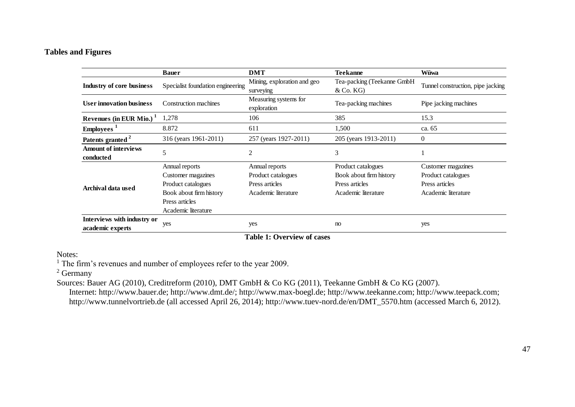# **Tables and Figures**

|                                                 | <b>Bauer</b>                                                                                                                   | <b>DMT</b>                                                                    | <b>Teekanne</b>                                                                        | Wüwa                                                                              |
|-------------------------------------------------|--------------------------------------------------------------------------------------------------------------------------------|-------------------------------------------------------------------------------|----------------------------------------------------------------------------------------|-----------------------------------------------------------------------------------|
| Industry of core business                       | Specialist foundation engineering                                                                                              | Mining, exploration and geo<br>surveying                                      | Tea-packing (Teekanne GmbH<br>&Co.KG                                                   | Tunnel construction, pipe jacking                                                 |
| <b>User innovation business</b>                 | Construction machines                                                                                                          | Measuring systems for<br>exploration                                          | Tea-packing machines                                                                   | Pipe jacking machines                                                             |
| Revenues (in EUR Mio.) $1$                      | 1,278                                                                                                                          | 106                                                                           | 385                                                                                    | 15.3                                                                              |
| Employees <sup>1</sup>                          | 8.872                                                                                                                          | 611                                                                           | 1,500                                                                                  | ca. 65                                                                            |
| Patents granted <sup>2</sup>                    | 316 (years 1961-2011)                                                                                                          | 257 (years 1927-2011)                                                         | 205 (years 1913-2011)                                                                  | $\overline{0}$                                                                    |
| <b>Amount of interviews</b><br>conducted        | 5                                                                                                                              | $\overline{2}$                                                                | 3                                                                                      |                                                                                   |
| Archival data used                              | Annual reports<br>Customer magazines<br>Product catalogues<br>Book about firm history<br>Press articles<br>Academic literature | Annual reports<br>Product catalogues<br>Press articles<br>Academic literature | Product catalogues<br>Book about firm history<br>Press articles<br>Academic literature | Customer magazines<br>Product catalogues<br>Press articles<br>Academic literature |
| Interviews with industry or<br>academic experts | yes                                                                                                                            | yes<br>$\mathbf{m}$ is a contract of the contract of $\mathbf{c}$             | no                                                                                     | yes                                                                               |

# **Table 1: Overview of cases**

Notes:

<sup>1</sup> The firm's revenues and number of employees refer to the year 2009.

<sup>2</sup> Germany

Sources: Bauer AG (2010), Creditreform (2010), DMT GmbH & Co KG (2011), Teekanne GmbH & Co KG (2007).

<span id="page-46-0"></span>Internet: http://www.bauer.de; http://www.dmt.de/; http://www.max-boegl.de; http://www.teekanne.com; http://www.teepack.com; http://www.tunnelvortrieb.de (all accessed April 26, 2014); http://www.tuev-nord.de/en/DMT\_5570.htm (accessed March 6, 2012).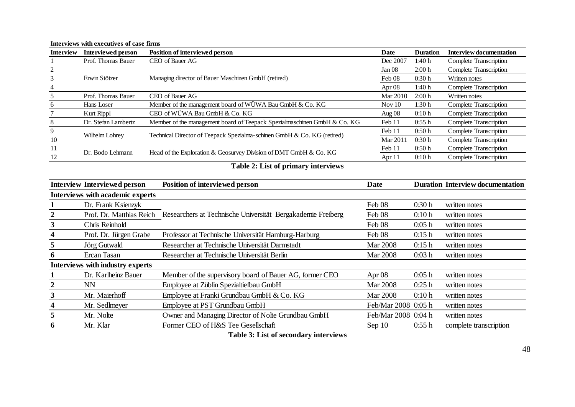| Interviews with executives of case firms |                                         |                                                                                      |                     |                   |                                         |
|------------------------------------------|-----------------------------------------|--------------------------------------------------------------------------------------|---------------------|-------------------|-----------------------------------------|
| <b>Interview</b>                         | Interviewed person                      | Position of interviewed person                                                       | <b>Date</b>         | <b>Duration</b>   | <b>Interview documentation</b>          |
|                                          | Prof. Thomas Bauer                      | CEO of Bauer AG                                                                      | Dec 2007            | 1:40 <sub>h</sub> | Complete Transcription                  |
| $\sqrt{2}$                               |                                         |                                                                                      | Jan 08              | 2:00h             | Complete Transcription                  |
| 3                                        | Erwin Stötzer                           | Managing director of Bauer Maschinen GmbH (retired)                                  | Feb 08              | 0:30h             | Written notes                           |
| 4                                        |                                         |                                                                                      | Apr <sub>08</sub>   | 1:40h             | Complete Transcription                  |
| $\overline{5}$                           | Prof. Thomas Bauer                      | CEO of Bauer AG                                                                      | Mar 2010            | 2:00h             | Written notes                           |
| $6\,$                                    | Hans Loser                              | Member of the management board of WÜWA Bau GmbH & Co. KG                             | Nov $10$            | 1:30 <sub>h</sub> | Complete Transcription                  |
| 7                                        | Kurt Rippl                              | CEO of WÜWA Bau GmbH & Co. KG                                                        | Aug 08              | 0:10h             | Complete Transcription                  |
| $\,8\,$                                  | Dr. Stefan Lambertz                     | Member of the management board of Teepack Spezialmaschinen GmbH & Co. KG             | Feb 11              | 0:55h             | Complete Transcription                  |
| $\overline{9}$                           | Wilhelm Lohrey                          | Technical Director of Teepack Spezialma-schinen GmbH & Co. KG (retired)              | Feb 11              | 0:50h             | Complete Transcription                  |
| 10                                       |                                         |                                                                                      | Mar 2011            | 0:30h             | Complete Transcription                  |
| 11                                       | Dr. Bodo Lehmann                        | Head of the Exploration & Geosurvey Division of DMT GmbH & Co. KG                    | Feb 11              | 0:50h             | Complete Transcription                  |
| 12                                       |                                         |                                                                                      | Apr 11              | 0:10 <sub>h</sub> | Complete Transcription                  |
| Table 2: List of primary interviews      |                                         |                                                                                      |                     |                   |                                         |
|                                          | <b>Interview Interviewed person</b>     | Position of interviewed person                                                       | <b>Date</b>         |                   | <b>Duration Interview documentation</b> |
|                                          | <b>Interviews with academic experts</b> |                                                                                      |                     |                   |                                         |
| 1                                        | Dr. Frank Ksienzyk                      |                                                                                      | Feb 08              | 0:30h             | written notes                           |
| $\boldsymbol{2}$                         |                                         | Prof. Dr. Matthias Reich Researchers at Technische Universität Bergakademie Freiberg | Feb 08              | 0:10h             | written notes                           |
| 3                                        | Chris Reinhold                          |                                                                                      | Feb 08              | 0:05h             | written notes                           |
| $\overline{\mathbf{4}}$                  | Prof. Dr. Jürgen Grabe                  | Professor at Technische Universität Hamburg-Harburg                                  | Feb 08              | 0:15h             | written notes                           |
| 5                                        | Jörg Gutwald                            | Researcher at Technische Universität Darmstadt                                       | <b>Mar 2008</b>     | 0:15h             | written notes                           |
| 6                                        | <b>Ercan Tasan</b>                      | Researcher at Technische Universität Berlin                                          | <b>Mar 2008</b>     | 0:03h             | written notes                           |
| Interviews with industry experts         |                                         |                                                                                      |                     |                   |                                         |
| 1                                        | Dr. Karlheinz Bauer                     | Member of the supervisory board of Bauer AG, former CEO                              | Apr <sub>08</sub>   | 0:05h             | written notes                           |
| $\boldsymbol{2}$                         | <b>NN</b>                               | Employee at Züblin Spezialtiefbau GmbH                                               | <b>Mar 2008</b>     | 0:25h             | written notes                           |
| 3                                        | Mr. Maierhoff                           | Employee at Franki Grundbau GmbH & Co. KG                                            | <b>Mar 2008</b>     | 0:10h             | written notes                           |
| $\overline{\mathbf{4}}$                  | Mr. Sedlmeyer                           | Employee at PST Grundbau GmbH                                                        | Feb/Mar 2008 0:05 h |                   | written notes                           |
| 5                                        | Mr. Nolte                               | Owner and Managing Director of Nolte Grundbau GmbH                                   | Feb/Mar 2008 0:04 h |                   | written notes                           |
| 6                                        | Mr. Klar                                | Former CEO of H&S Tee Gesellschaft                                                   | Sep 10              | 0:55h             | complete transcription                  |

<span id="page-47-1"></span><span id="page-47-0"></span>**Table 3: List of secondary interviews**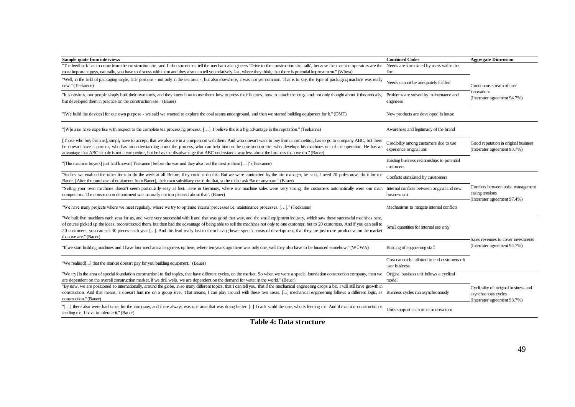| Sample quote from interviews                                                                                                                                                                                                                                                                                                                                                                                                                                                                                                                                                               | <b>Combined Codes</b>                                                                              | <b>Aggregate Dimension</b>                                                                   |  |
|--------------------------------------------------------------------------------------------------------------------------------------------------------------------------------------------------------------------------------------------------------------------------------------------------------------------------------------------------------------------------------------------------------------------------------------------------------------------------------------------------------------------------------------------------------------------------------------------|----------------------------------------------------------------------------------------------------|----------------------------------------------------------------------------------------------|--|
| "The feedback has to come from the construction site, and I also sometimes tell the mechanical engineers 'Drive to the construction site, talk', because the machine operators are the<br>most important guys, naturally, you have to discuss with them and they also can tell you relatively fast, where they think, that there is potential improvement." (Wüwa)                                                                                                                                                                                                                         | Needs are formulated by users within the<br>firm                                                   |                                                                                              |  |
| "Well, in the field of packaging single, little portions - not only in the tea area -, but also elsewhere, it was not yet common. That is to say, the type of packaging machine was really<br>new." (Teekanne)                                                                                                                                                                                                                                                                                                                                                                             | Needs cannot be adequately fulfilled                                                               | Continuous stream of user                                                                    |  |
| "It is obvious, our people simply built their own tools, and they knew how to use them, how to press their buttons, how to attach the cogs, and not only thought about it theoretically,<br>but developed them in practice on the construction site." (Bauer)                                                                                                                                                                                                                                                                                                                              | innovations<br>Problems are solved by maintenance and<br>(Interrater agreement 94.7%)<br>engineers |                                                                                              |  |
| "[We build the devices] for our own purpose - we said we wanted to explore the coal seams underground, and then we started building equipment for it." (DMT)                                                                                                                                                                                                                                                                                                                                                                                                                               | New products are developed in house                                                                |                                                                                              |  |
| "[W] e also have expertise with respect to the complete tea processing process, []. I believe this is a big advantage in the reputation." (Teekanne)                                                                                                                                                                                                                                                                                                                                                                                                                                       | Awareness and legitimacy of the brand                                                              |                                                                                              |  |
| [Those who buy from us], simply have to accept, that we also are in a competition with them. And who doesn't want to buy from a competitor, has to go to company ABC, but there<br>he doesn't have a partner, who has an understanding about the process, who can help him on the construction site, who develops his machines out of the operation. He has an<br>advantage that ABC simply is not a competitor, but he has the disadvantage that ABC understands way less about the business than we do." (Bauer)                                                                         | Credibility among customers due to use<br>experience original unit                                 | Good reputation in original business<br>(Interrater agreement 93.7%)                         |  |
| "The machine buyers] just had known [Teekanne] before the war and they also had the trust in them []" (Teekanne)                                                                                                                                                                                                                                                                                                                                                                                                                                                                           | Existing business relationships to potential<br>customers                                          |                                                                                              |  |
| "So first we enabled the other firms to do the werk at all. Before, they couldn't do this. But we were contracted by the site manager, he said, I need 20 poles now, do it for me<br>Bauer. [After the purchase of equipment from Bauer], their own subsidiary could do that, so he didn't ask Bauer anymore." (Bauer)                                                                                                                                                                                                                                                                     | Conflicts stimulated by cusstomers                                                                 |                                                                                              |  |
| "Selling your own machines doesn't seem particularly easy at first. Here in Germany, where our machine sales were very strong, the customers automatically were our main<br>competitors. The construction department was naturally not too pleased about that". (Bauer)                                                                                                                                                                                                                                                                                                                    | Internal conflicts between original and new<br>business unit                                       | Conflicts between units, management<br>easing tensions                                       |  |
| "We have many projects where we meet regularly, where we try to optimize internal processes i.e. maintenance processes. []." (Teekanne)                                                                                                                                                                                                                                                                                                                                                                                                                                                    | Mechanisms to mitigate internal conflicts                                                          | (Interrater agreement 97.4%)                                                                 |  |
| "We built five machines each year for us, and were very successful with it and that was good that way, and the small equipment industry, which saw these successful machines here,<br>of course picked up the ideas, reconstructed them, but then had the advantage of being able to sell the machines not only to one customer, but to 20 customers. And if you can sell to<br>20 customers, you can sell 30 pieces each year []. And this lead really fast to them having lower specific costs of development, that they are just more productive on the market<br>than we are." (Bauer) | Small quantities for internal use only                                                             | Sales revenues to cover investments                                                          |  |
| "If we start building machines and I have four mechanical engineers up here, where ten years ago there was only one, well they also have to be financed somehow." (WÜWA)                                                                                                                                                                                                                                                                                                                                                                                                                   | Building of engineering staff                                                                      | (Interrater agreement 94.7%)                                                                 |  |
| "We realized[] that the market doesn't pay for you building equipment." (Bauer)                                                                                                                                                                                                                                                                                                                                                                                                                                                                                                            | Cost cannot be allotted to end customers oft<br>user business                                      |                                                                                              |  |
| "We try [in the area of special foundation construction] to find topics, that have different cycles, on the market. So when we were a special foundation construction company, then we<br>are dependent on the overall construction market, if we drill wells, we are dependent on the demand for water in the world." (Bauer)                                                                                                                                                                                                                                                             | Original business unit follows a cyclical<br>model                                                 |                                                                                              |  |
| "By now, we are positioned so internationally, around the globe, in so many different topics, that I can tell you, that if the mechanical engineering drops a bit, I will still have growth in<br>construction. And that means, it doesn't hurt me on a group level. That means, I can play around with these two areas. [] mechanical engineerung follows a different logic, as Business cycles run asynchronously<br>construction." (Bauer)                                                                                                                                              |                                                                                                    | Cyclicality oft original business and<br>asynchronous cycles<br>(Interrater agreement 93.7%) |  |
| "[] there also were bad times for the company, and there always was one area that was doing better. [] I can't scold the one, who is feeding me. And if machine construction is<br>feeding me, I have to tolerate it." (Bauer)                                                                                                                                                                                                                                                                                                                                                             | Units support each other in downturn                                                               |                                                                                              |  |

<span id="page-48-0"></span>**Table 4: Data structure**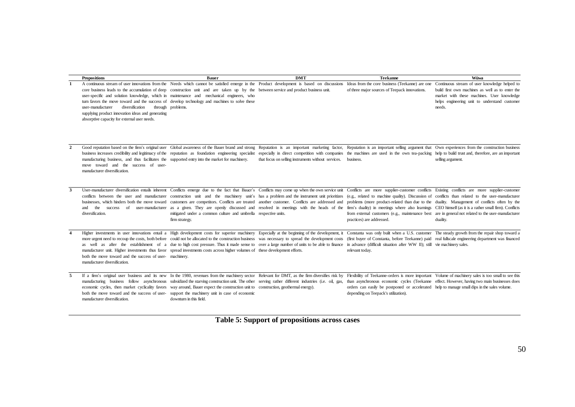|                | Propositions                                                                                                                                                                                                                               | <b>Bauer</b>                                                                                                                                                                                                                                                                                                                                                                                                                                                                                                                                                                                                                                                                                                                                                                                                                                                                                                                                                                                                           | DMT                                                                                                                                                                                                                | <b>Teekanne</b>                                                                                                                      | Wüwa                                                                                                                                                      |
|----------------|--------------------------------------------------------------------------------------------------------------------------------------------------------------------------------------------------------------------------------------------|------------------------------------------------------------------------------------------------------------------------------------------------------------------------------------------------------------------------------------------------------------------------------------------------------------------------------------------------------------------------------------------------------------------------------------------------------------------------------------------------------------------------------------------------------------------------------------------------------------------------------------------------------------------------------------------------------------------------------------------------------------------------------------------------------------------------------------------------------------------------------------------------------------------------------------------------------------------------------------------------------------------------|--------------------------------------------------------------------------------------------------------------------------------------------------------------------------------------------------------------------|--------------------------------------------------------------------------------------------------------------------------------------|-----------------------------------------------------------------------------------------------------------------------------------------------------------|
|                | turn favors the move toward and the success of develop technology and machines to solve these<br>user-manufacturer<br>diversification<br>supplying product innovation ideas and generating<br>absorptive capacity for external user needs. | A continuous stream of user innovations from the Needs which cannot be satisfied emerge in the Product development is based on discussions Ideas from the core business (Teekanne) are one Continuous stream of user knowledge<br>core business leads to the accumulation of deep construction unit and are taken up by the between service and product business unit.<br>user-specific and solution knowledge, which in maintenance and mechanical engineers, who<br>through problems.                                                                                                                                                                                                                                                                                                                                                                                                                                                                                                                                |                                                                                                                                                                                                                    | of three major sources of Teepack innovations.                                                                                       | build first own machines as well as to enter the<br>market with these machines. User knowledge<br>helps engineering unit to understand customer<br>needs. |
|                | manufacturing business, and thus facilitates the supported entry into the market for machinery.<br>move toward and the success of user-<br>manufacturer diversification.                                                                   | Good reputation based on the firm's original user Global awareness of the Bauer brand and strong Reputation is an important marketing factor, Reputation is an important selling argument that Own experiences from the constr<br>business increases credibility and legitimacy of the reputation as foundation engineering specialist                                                                                                                                                                                                                                                                                                                                                                                                                                                                                                                                                                                                                                                                                 | especially in direct competition with companies the machines are used in the own tea-packing help to build trust and, therefore, are an important<br>that focus on selling instruments without services. business. |                                                                                                                                      | selling argument.                                                                                                                                         |
| 3              | and<br>diversification.                                                                                                                                                                                                                    | User-manufacturer diversification entails inherent Conflicts emerge due to the fact that Bauer's Conflicts may come up when the own service unit Conflicts are more supplier-customer conflicts Existing conflicts are more su<br>conflicts between the user and manufacturer construction unit and the machinery unit's has a problem and the instrument unit prioritizes (e.g., related to machine quality). Discussion of conflicts than related to the user-<br>businesses, which hinders both the move toward customers are competitors. Conflicts are treated another customer. Conflicts are addressed and problems (more product-related than due to the duality. Management of conflicts<br>the success of user-manufacturer as a given. They are openly discussed and resolved in meetings with the heads of the firm's duality) in meetings where also learnings CEO himself (as it is a rather small firm). Conflicts<br>mitigated under a common culture and umbrella respective units.<br>firm strategy. |                                                                                                                                                                                                                    | practices) are addressed.                                                                                                            | from external customers (e.g., maintenance best are in general not related to the user-manufacturer<br>duality.                                           |
| $\overline{4}$ | both the move toward and the success of user- machinery.<br>manufacturer diversification.                                                                                                                                                  | Higher investments in user innovations entail a High development costs for superior machinery Especially at the beginning of the development, it Constanta was only built when a U.S. customer The steady growth from the repa<br>more urgent need to recoup the costs, both before could not be allocated to the construction business was necessary to spread the development costs (first buyer of Constanta, before Teekanne) paid real fullscale engineerin<br>as well as after the establishment of a due to high cost pressure. Thus it made sense to over a large number of units to be able to finance in advance (difficult situation after WW II); still vie machinery sales.<br>manufacturer unit. Higher investments thus favor spread investments costs across higher volumes of these development efforts.                                                                                                                                                                                              |                                                                                                                                                                                                                    | relevant today.                                                                                                                      |                                                                                                                                                           |
| 5              | both the move toward and the success of user-support the machinery unit in case of economic<br>manufacturer diversification.                                                                                                               | If a firm's original user business and its new In the 1980, revenues from the machinery sector Relevant for DMT, as the firm diversifies risk by Flexibility of Teekanne-orders is more important Volume of machinery sales is<br>manufacturing business follow asynchronous subsidized the starving construction unit. The other serving rather different industries (i.e. oil, gas, than asynchronous economic cycles (Teekanne effect. However, having two ma<br>economic cycles, then market cyclicality favors way around, Bauer expect the construction unit to construction, geothermal energy).<br>downturn in this field.                                                                                                                                                                                                                                                                                                                                                                                     |                                                                                                                                                                                                                    | orders can easily be postponed or accelerated help to manage small dips in the sales volume.<br>depending on Teepack's utilization). |                                                                                                                                                           |

<span id="page-49-0"></span>**Table 5: Support of propositions across cases**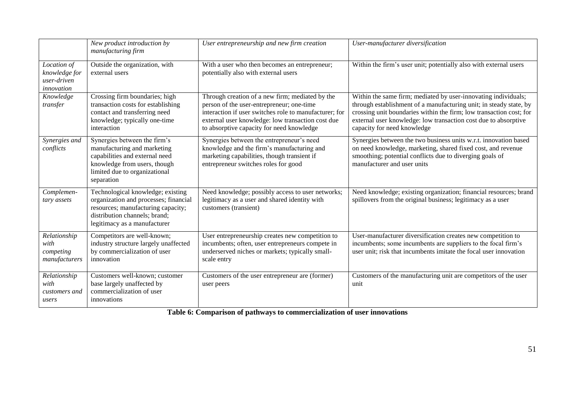|                                                           | New product introduction by<br>manufacturing firm                                                                                                                                 | User entrepreneurship and new firm creation                                                                                                                                                                                                              | User-manufacturer diversification                                                                                                                                                                                                                                                                             |
|-----------------------------------------------------------|-----------------------------------------------------------------------------------------------------------------------------------------------------------------------------------|----------------------------------------------------------------------------------------------------------------------------------------------------------------------------------------------------------------------------------------------------------|---------------------------------------------------------------------------------------------------------------------------------------------------------------------------------------------------------------------------------------------------------------------------------------------------------------|
| Location of<br>knowledge for<br>user-driven<br>innovation | Outside the organization, with<br>external users                                                                                                                                  | With a user who then becomes an entrepreneur;<br>potentially also with external users                                                                                                                                                                    | Within the firm's user unit; potentially also with external users                                                                                                                                                                                                                                             |
| Knowledge<br>transfer                                     | Crossing firm boundaries; high<br>transaction costs for establishing<br>contact and transferring need<br>knowledge; typically one-time<br>interaction                             | Through creation of a new firm; mediated by the<br>person of the user-entrepreneur; one-time<br>interaction if user switches role to manufacturer; for<br>external user knowledge: low transaction cost due<br>to absorptive capacity for need knowledge | Within the same firm; mediated by user-innovating individuals;<br>through establishment of a manufacturing unit; in steady state, by<br>crossing unit boundaries within the firm; low transaction cost; for<br>external user knowledge: low transaction cost due to absorptive<br>capacity for need knowledge |
| Synergies and<br>conflicts                                | Synergies between the firm's<br>manufacturing and marketing<br>capabilities and external need<br>knowledge from users, though<br>limited due to organizational<br>separation      | Synergies between the entrepreneur's need<br>knowledge and the firm's manufacturing and<br>marketing capabilities, though transient if<br>entrepreneur switches roles for good                                                                           | Synergies between the two business units w.r.t. innovation based<br>on need knowledge, marketing, shared fixed cost, and revenue<br>smoothing; potential conflicts due to diverging goals of<br>manufacturer and user units                                                                                   |
| Complemen-<br>tary assets                                 | Technological knowledge; existing<br>organization and processes; financial<br>resources; manufacturing capacity;<br>distribution channels; brand;<br>legitimacy as a manufacturer | Need knowledge; possibly access to user networks;<br>legitimacy as a user and shared identity with<br>customers (transient)                                                                                                                              | Need knowledge; existing organization; financial resources; brand<br>spillovers from the original business; legitimacy as a user                                                                                                                                                                              |
| Relationship<br>with<br>competing<br>manufacturers        | Competitors are well-known;<br>industry structure largely unaffected<br>by commercialization of user<br>innovation                                                                | User entrepreneurship creates new competition to<br>incumbents; often, user entrepreneurs compete in<br>underserved niches or markets; typically small-<br>scale entry                                                                                   | User-manufacturer diversification creates new competition to<br>incumbents; some incumbents are suppliers to the focal firm's<br>user unit; risk that incumbents imitate the focal user innovation                                                                                                            |
| Relationship<br>with<br>customers and<br>users            | Customers well-known; customer<br>base largely unaffected by<br>commercialization of user<br>innovations                                                                          | Customers of the user entrepreneur are (former)<br>user peers                                                                                                                                                                                            | Customers of the manufacturing unit are competitors of the user<br>unit                                                                                                                                                                                                                                       |

<span id="page-50-0"></span>**Table 6: Comparison of pathways to commercialization of user innovations**